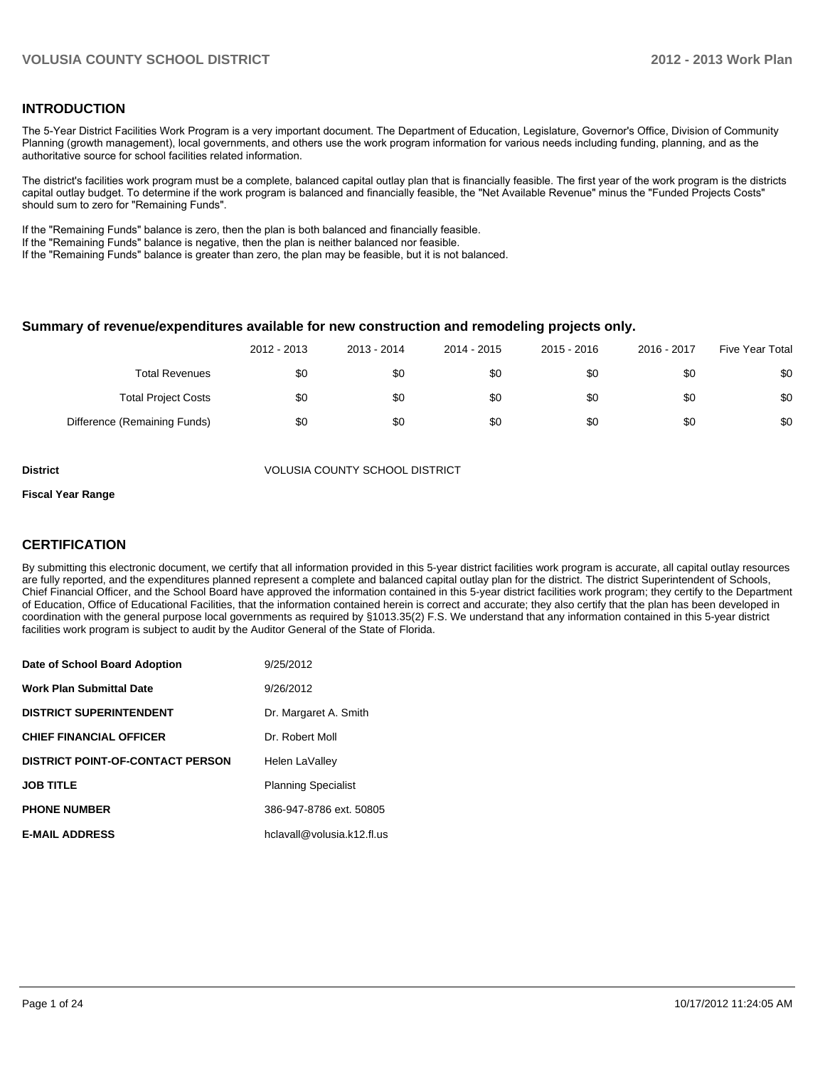### **INTRODUCTION**

The 5-Year District Facilities Work Program is a very important document. The Department of Education, Legislature, Governor's Office, Division of Community Planning (growth management), local governments, and others use the work program information for various needs including funding, planning, and as the authoritative source for school facilities related information.

The district's facilities work program must be a complete, balanced capital outlay plan that is financially feasible. The first year of the work program is the districts capital outlay budget. To determine if the work program is balanced and financially feasible, the "Net Available Revenue" minus the "Funded Projects Costs" should sum to zero for "Remaining Funds".

If the "Remaining Funds" balance is zero, then the plan is both balanced and financially feasible.

If the "Remaining Funds" balance is negative, then the plan is neither balanced nor feasible.

If the "Remaining Funds" balance is greater than zero, the plan may be feasible, but it is not balanced.

#### **Summary of revenue/expenditures available for new construction and remodeling projects only.**

|                              | 2012 - 2013 | 2013 - 2014 | 2014 - 2015 | 2015 - 2016 | 2016 - 2017 | Five Year Total |
|------------------------------|-------------|-------------|-------------|-------------|-------------|-----------------|
| <b>Total Revenues</b>        | \$0         | \$0         | \$0         | \$0         | \$0         | \$0             |
| <b>Total Project Costs</b>   | \$0         | \$0         | \$0         | \$0         | \$0         | \$0             |
| Difference (Remaining Funds) | \$0         | \$0         | \$0         | \$0         | \$0         | \$0             |

**District** VOLUSIA COUNTY SCHOOL DISTRICT

#### **Fiscal Year Range**

### **CERTIFICATION**

By submitting this electronic document, we certify that all information provided in this 5-year district facilities work program is accurate, all capital outlay resources are fully reported, and the expenditures planned represent a complete and balanced capital outlay plan for the district. The district Superintendent of Schools, Chief Financial Officer, and the School Board have approved the information contained in this 5-year district facilities work program; they certify to the Department of Education, Office of Educational Facilities, that the information contained herein is correct and accurate; they also certify that the plan has been developed in coordination with the general purpose local governments as required by §1013.35(2) F.S. We understand that any information contained in this 5-year district facilities work program is subject to audit by the Auditor General of the State of Florida.

| Date of School Board Adoption           | 9/25/2012                  |
|-----------------------------------------|----------------------------|
| <b>Work Plan Submittal Date</b>         | 9/26/2012                  |
| <b>DISTRICT SUPERINTENDENT</b>          | Dr. Margaret A. Smith      |
| <b>CHIEF FINANCIAL OFFICER</b>          | Dr. Robert Moll            |
| <b>DISTRICT POINT-OF-CONTACT PERSON</b> | Helen LaValley             |
| <b>JOB TITLE</b>                        | <b>Planning Specialist</b> |
| <b>PHONE NUMBER</b>                     | 386-947-8786 ext. 50805    |
| <b>E-MAIL ADDRESS</b>                   | hclavall@volusia.k12.fl.us |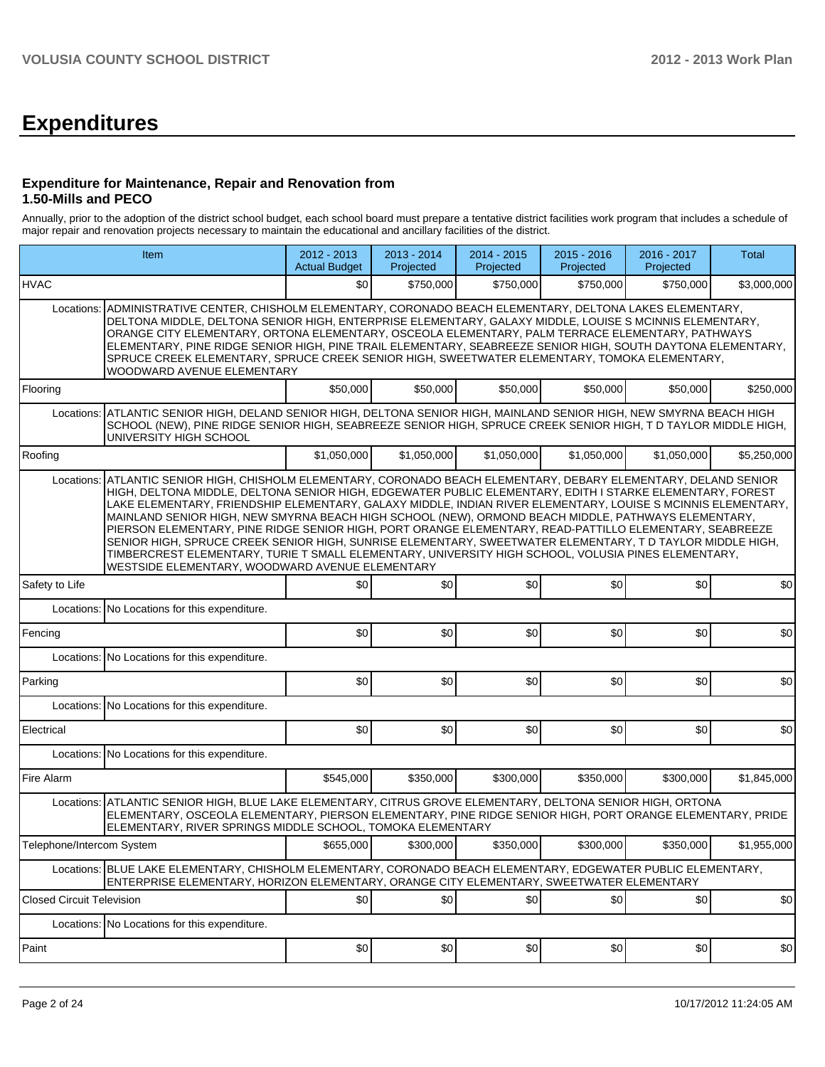# **Expenditures**

#### **Expenditure for Maintenance, Repair and Renovation from 1.50-Mills and PECO**

Annually, prior to the adoption of the district school budget, each school board must prepare a tentative district facilities work program that includes a schedule of major repair and renovation projects necessary to maintain the educational and ancillary facilities of the district.

|                                  | Item                                                                                                                                                                                                                                                                                                                                                                                                                                                                                                                                                                                                                                                                                                                                                                                                                         |             | 2013 - 2014<br>Projected | $2014 - 2015$<br>Projected | 2015 - 2016<br>Projected | 2016 - 2017<br>Projected | Total       |  |
|----------------------------------|------------------------------------------------------------------------------------------------------------------------------------------------------------------------------------------------------------------------------------------------------------------------------------------------------------------------------------------------------------------------------------------------------------------------------------------------------------------------------------------------------------------------------------------------------------------------------------------------------------------------------------------------------------------------------------------------------------------------------------------------------------------------------------------------------------------------------|-------------|--------------------------|----------------------------|--------------------------|--------------------------|-------------|--|
| <b>HVAC</b>                      |                                                                                                                                                                                                                                                                                                                                                                                                                                                                                                                                                                                                                                                                                                                                                                                                                              | \$0         | \$750,000                | \$750,000                  | \$750,000                | \$750.000                | \$3,000,000 |  |
| Locations:                       | ADMINISTRATIVE CENTER, CHISHOLM ELEMENTARY, CORONADO BEACH ELEMENTARY, DELTONA LAKES ELEMENTARY,<br>DELTONA MIDDLE, DELTONA SENIOR HIGH, ENTERPRISE ELEMENTARY, GALAXY MIDDLE, LOUISE S MCINNIS ELEMENTARY,<br>ORANGE CITY ELEMENTARY, ORTONA ELEMENTARY, OSCEOLA ELEMENTARY, PALM TERRACE ELEMENTARY, PATHWAYS<br>ELEMENTARY, PINE RIDGE SENIOR HIGH, PINE TRAIL ELEMENTARY, SEABREEZE SENIOR HIGH, SOUTH DAYTONA ELEMENTARY,<br>SPRUCE CREEK ELEMENTARY, SPRUCE CREEK SENIOR HIGH, SWEETWATER ELEMENTARY, TOMOKA ELEMENTARY,<br>WOODWARD AVENUE ELEMENTARY                                                                                                                                                                                                                                                                 |             |                          |                            |                          |                          |             |  |
| Flooring                         |                                                                                                                                                                                                                                                                                                                                                                                                                                                                                                                                                                                                                                                                                                                                                                                                                              | \$50,000    | \$50,000                 | \$50,000                   | \$50,000                 | \$50,000                 | \$250.000   |  |
| Locations:                       | ATLANTIC SENIOR HIGH, DELAND SENIOR HIGH, DELTONA SENIOR HIGH, MAINLAND SENIOR HIGH, NEW SMYRNA BEACH HIGH<br>SCHOOL (NEW), PINE RIDGE SENIOR HIGH, SEABREEZE SENIOR HIGH, SPRUCE CREEK SENIOR HIGH, T D TAYLOR MIDDLE HIGH,<br>UNIVERSITY HIGH SCHOOL                                                                                                                                                                                                                                                                                                                                                                                                                                                                                                                                                                       |             |                          |                            |                          |                          |             |  |
| Roofing                          |                                                                                                                                                                                                                                                                                                                                                                                                                                                                                                                                                                                                                                                                                                                                                                                                                              | \$1,050,000 | \$1,050,000              | \$1,050,000                | \$1,050,000              | \$1,050,000              | \$5,250,000 |  |
| Locations:                       | ATLANTIC SENIOR HIGH, CHISHOLM ELEMENTARY, CORONADO BEACH ELEMENTARY, DEBARY ELEMENTARY, DELAND SENIOR<br>HIGH, DELTONA MIDDLE, DELTONA SENIOR HIGH, EDGEWATER PUBLIC ELEMENTARY, EDITH I STARKE ELEMENTARY, FOREST<br>LAKE ELEMENTARY, FRIENDSHIP ELEMENTARY, GALAXY MIDDLE, INDIAN RIVER ELEMENTARY, LOUISE S MCINNIS ELEMENTARY,<br>MAINLAND SENIOR HIGH, NEW SMYRNA BEACH HIGH SCHOOL (NEW), ORMOND BEACH MIDDLE, PATHWAYS ELEMENTARY,<br>PIERSON ELEMENTARY, PINE RIDGE SENIOR HIGH, PORT ORANGE ELEMENTARY, READ-PATTILLO ELEMENTARY, SEABREEZE<br>SENIOR HIGH, SPRUCE CREEK SENIOR HIGH, SUNRISE ELEMENTARY, SWEETWATER ELEMENTARY, T D TAYLOR MIDDLE HIGH,<br>TIMBERCREST ELEMENTARY, TURIE T SMALL ELEMENTARY, UNIVERSITY HIGH SCHOOL, VOLUSIA PINES ELEMENTARY,<br>WESTSIDE ELEMENTARY, WOODWARD AVENUE ELEMENTARY |             |                          |                            |                          |                          |             |  |
| Safety to Life                   |                                                                                                                                                                                                                                                                                                                                                                                                                                                                                                                                                                                                                                                                                                                                                                                                                              | \$0         | \$0                      | \$0                        | \$0                      | \$0                      | \$0         |  |
| Locations:                       | No Locations for this expenditure.                                                                                                                                                                                                                                                                                                                                                                                                                                                                                                                                                                                                                                                                                                                                                                                           |             |                          |                            |                          |                          |             |  |
| Fencing                          |                                                                                                                                                                                                                                                                                                                                                                                                                                                                                                                                                                                                                                                                                                                                                                                                                              | \$0         | \$0                      | \$0                        | \$0                      | \$0                      | \$0         |  |
|                                  | Locations: No Locations for this expenditure.                                                                                                                                                                                                                                                                                                                                                                                                                                                                                                                                                                                                                                                                                                                                                                                |             |                          |                            |                          |                          |             |  |
| Parking                          |                                                                                                                                                                                                                                                                                                                                                                                                                                                                                                                                                                                                                                                                                                                                                                                                                              | \$0         | \$0                      | \$0                        | \$0                      | \$0                      | \$0         |  |
| Locations:                       | No Locations for this expenditure.                                                                                                                                                                                                                                                                                                                                                                                                                                                                                                                                                                                                                                                                                                                                                                                           |             |                          |                            |                          |                          |             |  |
| Electrical                       |                                                                                                                                                                                                                                                                                                                                                                                                                                                                                                                                                                                                                                                                                                                                                                                                                              | \$0         | \$0                      | \$0                        | \$0                      | \$0                      | \$0         |  |
|                                  | Locations: No Locations for this expenditure.                                                                                                                                                                                                                                                                                                                                                                                                                                                                                                                                                                                                                                                                                                                                                                                |             |                          |                            |                          |                          |             |  |
| Fire Alarm                       |                                                                                                                                                                                                                                                                                                                                                                                                                                                                                                                                                                                                                                                                                                                                                                                                                              | \$545,000   | \$350,000                | \$300,000                  | \$350,000                | \$300,000                | \$1,845,000 |  |
|                                  | Locations: ATLANTIC SENIOR HIGH, BLUE LAKE ELEMENTARY, CITRUS GROVE ELEMENTARY, DELTONA SENIOR HIGH, ORTONA<br>ELEMENTARY, OSCEOLA ELEMENTARY, PIERSON ELEMENTARY, PINE RIDGE SENIOR HIGH, PORT ORANGE ELEMENTARY, PRIDE<br>ELEMENTARY, RIVER SPRINGS MIDDLE SCHOOL, TOMOKA ELEMENTARY                                                                                                                                                                                                                                                                                                                                                                                                                                                                                                                                       |             |                          |                            |                          |                          |             |  |
| Telephone/Intercom System        |                                                                                                                                                                                                                                                                                                                                                                                                                                                                                                                                                                                                                                                                                                                                                                                                                              | \$655,000   | \$300,000                | \$350,000                  | \$300,000                | \$350,000                | \$1,955,000 |  |
|                                  | Locations: BLUE LAKE ELEMENTARY, CHISHOLM ELEMENTARY, CORONADO BEACH ELEMENTARY, EDGEWATER PUBLIC ELEMENTARY,<br>ENTERPRISE ELEMENTARY, HORIZON ELEMENTARY, ORANGE CITY ELEMENTARY, SWEETWATER ELEMENTARY                                                                                                                                                                                                                                                                                                                                                                                                                                                                                                                                                                                                                    |             |                          |                            |                          |                          |             |  |
| <b>Closed Circuit Television</b> |                                                                                                                                                                                                                                                                                                                                                                                                                                                                                                                                                                                                                                                                                                                                                                                                                              | \$0         | \$0                      | \$0                        | \$0]                     | \$0                      | \$0         |  |
|                                  | Locations: No Locations for this expenditure.                                                                                                                                                                                                                                                                                                                                                                                                                                                                                                                                                                                                                                                                                                                                                                                |             |                          |                            |                          |                          |             |  |
| Paint                            |                                                                                                                                                                                                                                                                                                                                                                                                                                                                                                                                                                                                                                                                                                                                                                                                                              | \$0         | \$0                      | \$0                        | \$0                      | \$0                      | \$0         |  |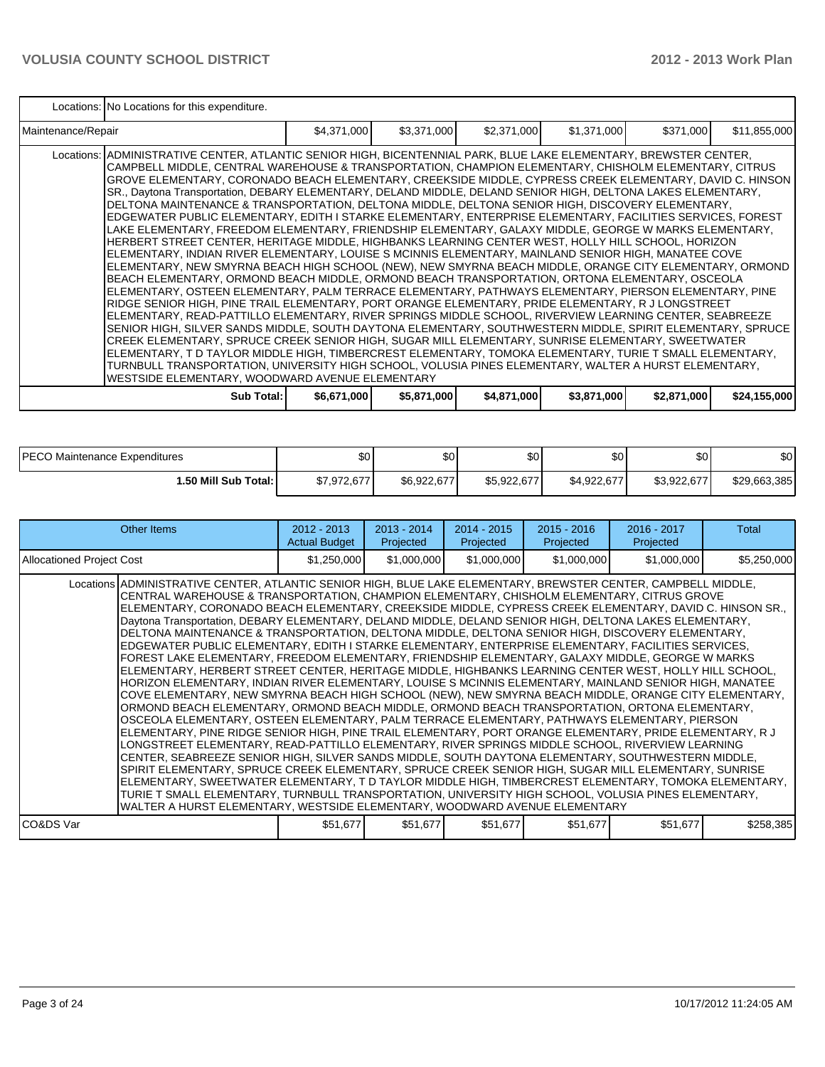|                    | Locations: No Locations for this expenditure.                                                                                                                                                                                                                                                                                                                                                                                                                                                                                                                                                                                                                                                                                                                                                                                                                                                                                                                                                                                                                                                                                                                                                                                                                                                                                                                                                                                                                                                                                                                                                                                                                                                                                                                                                                                                                                                                                                                                                                                        |             |             |             |             |             |              |  |  |  |
|--------------------|--------------------------------------------------------------------------------------------------------------------------------------------------------------------------------------------------------------------------------------------------------------------------------------------------------------------------------------------------------------------------------------------------------------------------------------------------------------------------------------------------------------------------------------------------------------------------------------------------------------------------------------------------------------------------------------------------------------------------------------------------------------------------------------------------------------------------------------------------------------------------------------------------------------------------------------------------------------------------------------------------------------------------------------------------------------------------------------------------------------------------------------------------------------------------------------------------------------------------------------------------------------------------------------------------------------------------------------------------------------------------------------------------------------------------------------------------------------------------------------------------------------------------------------------------------------------------------------------------------------------------------------------------------------------------------------------------------------------------------------------------------------------------------------------------------------------------------------------------------------------------------------------------------------------------------------------------------------------------------------------------------------------------------------|-------------|-------------|-------------|-------------|-------------|--------------|--|--|--|
| Maintenance/Repair |                                                                                                                                                                                                                                                                                                                                                                                                                                                                                                                                                                                                                                                                                                                                                                                                                                                                                                                                                                                                                                                                                                                                                                                                                                                                                                                                                                                                                                                                                                                                                                                                                                                                                                                                                                                                                                                                                                                                                                                                                                      | \$4,371,000 | \$3,371,000 | \$2,371,000 | \$1,371,000 | \$371,000   | \$11,855,000 |  |  |  |
|                    | Locations:  ADMINISTRATIVE CENTER, ATLANTIC SENIOR HIGH, BICENTENNIAL PARK, BLUE LAKE ELEMENTARY, BREWSTER CENTER,<br>CAMPBELL MIDDLE, CENTRAL WAREHOUSE & TRANSPORTATION, CHAMPION ELEMENTARY, CHISHOLM ELEMENTARY, CITRUS<br>GROVE ELEMENTARY, CORONADO BEACH ELEMENTARY, CREEKSIDE MIDDLE, CYPRESS CREEK ELEMENTARY, DAVID C. HINSON<br>SR., Daytona Transportation, DEBARY ELEMENTARY, DELAND MIDDLE, DELAND SENIOR HIGH, DELTONA LAKES ELEMENTARY,<br>DELTONA MAINTENANCE & TRANSPORTATION, DELTONA MIDDLE, DELTONA SENIOR HIGH, DISCOVERY ELEMENTARY,<br>IEDGEWATER PUBLIC ELEMENTARY, EDITH I STARKE ELEMENTARY, ENTERPRISE ELEMENTARY, FACILITIES SERVICES, FOREST<br>LAKE ELEMENTARY, FREEDOM ELEMENTARY, FRIENDSHIP ELEMENTARY, GALAXY MIDDLE, GEORGE W MARKS ELEMENTARY,<br>HERBERT STREET CENTER, HERITAGE MIDDLE, HIGHBANKS LEARNING CENTER WEST, HOLLY HILL SCHOOL, HORIZON<br>ELEMENTARY, INDIAN RIVER ELEMENTARY, LOUISE S MCINNIS ELEMENTARY, MAINLAND SENIOR HIGH, MANATEE COVE<br>ELEMENTARY, NEW SMYRNA BEACH HIGH SCHOOL (NEW), NEW SMYRNA BEACH MIDDLE, ORANGE CITY ELEMENTARY, ORMOND<br>BEACH ELEMENTARY, ORMOND BEACH MIDDLE, ORMOND BEACH TRANSPORTATION, ORTONA ELEMENTARY, OSCEOLA<br>ELEMENTARY, OSTEEN ELEMENTARY, PALM TERRACE ELEMENTARY, PATHWAYS ELEMENTARY, PIERSON ELEMENTARY, PINE<br>RIDGE SENIOR HIGH, PINE TRAIL ELEMENTARY, PORT ORANGE ELEMENTARY, PRIDE ELEMENTARY, R J LONGSTREET<br>ELEMENTARY, READ-PATTILLO ELEMENTARY, RIVER SPRINGS MIDDLE SCHOOL, RIVERVIEW LEARNING CENTER, SEABREEZE<br>SENIOR HIGH, SILVER SANDS MIDDLE, SOUTH DAYTONA ELEMENTARY, SOUTHWESTERN MIDDLE, SPIRIT ELEMENTARY, SPRUCE<br>ICREEK ELEMENTARY, SPRUCE CREEK SENIOR HIGH, SUGAR MILL ELEMENTARY, SUNRISE ELEMENTARY, SWEETWATER<br>ELEMENTARY, T D TAYLOR MIDDLE HIGH, TIMBERCREST ELEMENTARY, TOMOKA ELEMENTARY, TURIE T SMALL ELEMENTARY,<br>TURNBULL TRANSPORTATION, UNIVERSITY HIGH SCHOOL, VOLUSIA PINES ELEMENTARY, WALTER A HURST ELEMENTARY,<br>WESTSIDE ELEMENTARY, WOODWARD AVENUE ELEMENTARY |             |             |             |             |             |              |  |  |  |
|                    | Sub Total: I                                                                                                                                                                                                                                                                                                                                                                                                                                                                                                                                                                                                                                                                                                                                                                                                                                                                                                                                                                                                                                                                                                                                                                                                                                                                                                                                                                                                                                                                                                                                                                                                                                                                                                                                                                                                                                                                                                                                                                                                                         | \$6,671,000 | \$5,871,000 | \$4,871,000 | \$3,871,000 | \$2,871,000 | \$24,155,000 |  |  |  |

| <b>IPECO</b><br>Maintenance Expenditures | \$0         | n.<br>υυ    | \$0         | ሶሳ<br>ΦU    | ሶስ<br>ΦU    | \$0          |
|------------------------------------------|-------------|-------------|-------------|-------------|-------------|--------------|
| 1.50 Mill Sub Total: İ                   | \$7,972,677 | \$6,922,677 | \$5,922,677 | \$4,922,677 | \$3,922,677 | \$29,663,385 |

| Other Items                                                                                                                                                                                                                                                                                                                                                                                                                                                                                                                                                                                                                                                                                                                                                                                                                                                                                                                                                                                                                                                                                                                                                                                                                                                                                                                                                                                                                                                                                                                                                                                                                                                                                                                                                                                                                                                                                                                                                                                                   | $2012 - 2013$<br><b>Actual Budget</b> | $2013 - 2014$<br>Projected | $2014 - 2015$<br>Projected | $2015 - 2016$<br>Projected | 2016 - 2017<br>Projected | Total       |
|---------------------------------------------------------------------------------------------------------------------------------------------------------------------------------------------------------------------------------------------------------------------------------------------------------------------------------------------------------------------------------------------------------------------------------------------------------------------------------------------------------------------------------------------------------------------------------------------------------------------------------------------------------------------------------------------------------------------------------------------------------------------------------------------------------------------------------------------------------------------------------------------------------------------------------------------------------------------------------------------------------------------------------------------------------------------------------------------------------------------------------------------------------------------------------------------------------------------------------------------------------------------------------------------------------------------------------------------------------------------------------------------------------------------------------------------------------------------------------------------------------------------------------------------------------------------------------------------------------------------------------------------------------------------------------------------------------------------------------------------------------------------------------------------------------------------------------------------------------------------------------------------------------------------------------------------------------------------------------------------------------------|---------------------------------------|----------------------------|----------------------------|----------------------------|--------------------------|-------------|
| Allocationed Project Cost                                                                                                                                                                                                                                                                                                                                                                                                                                                                                                                                                                                                                                                                                                                                                                                                                                                                                                                                                                                                                                                                                                                                                                                                                                                                                                                                                                                                                                                                                                                                                                                                                                                                                                                                                                                                                                                                                                                                                                                     | \$1,250,000                           | \$1,000,000                | \$1,000,000                | \$1,000,000                | \$1,000,000              | \$5,250,000 |
| Locations ADMINISTRATIVE CENTER, ATLANTIC SENIOR HIGH, BLUE LAKE ELEMENTARY, BREWSTER CENTER, CAMPBELL MIDDLE,<br>CENTRAL WAREHOUSE & TRANSPORTATION, CHAMPION ELEMENTARY, CHISHOLM ELEMENTARY, CITRUS GROVE<br>ELEMENTARY, CORONADO BEACH ELEMENTARY, CREEKSIDE MIDDLE, CYPRESS CREEK ELEMENTARY, DAVID C. HINSON SR.,<br>Daytona Transportation, DEBARY ELEMENTARY, DELAND MIDDLE, DELAND SENIOR HIGH, DELTONA LAKES ELEMENTARY,<br>DELTONA MAINTENANCE & TRANSPORTATION, DELTONA MIDDLE, DELTONA SENIOR HIGH, DISCOVERY ELEMENTARY,<br>EDGEWATER PUBLIC ELEMENTARY, EDITH I STARKE ELEMENTARY, ENTERPRISE ELEMENTARY, FACILITIES SERVICES,<br>FOREST LAKE ELEMENTARY, FREEDOM ELEMENTARY, FRIENDSHIP ELEMENTARY, GALAXY MIDDLE, GEORGE W MARKS<br>ELEMENTARY, HERBERT STREET CENTER, HERITAGE MIDDLE, HIGHBANKS LEARNING CENTER WEST, HOLLY HILL SCHOOL,<br>HORIZON ELEMENTARY, INDIAN RIVER ELEMENTARY, LOUISE S MCINNIS ELEMENTARY, MAINLAND SENIOR HIGH, MANATEE<br>COVE ELEMENTARY, NEW SMYRNA BEACH HIGH SCHOOL (NEW), NEW SMYRNA BEACH MIDDLE, ORANGE CITY ELEMENTARY,<br>ORMOND BEACH ELEMENTARY, ORMOND BEACH MIDDLE, ORMOND BEACH TRANSPORTATION, ORTONA ELEMENTARY,<br>OSCEOLA ELEMENTARY, OSTEEN ELEMENTARY, PALM TERRACE ELEMENTARY, PATHWAYS ELEMENTARY, PIERSON<br>ELEMENTARY, PINE RIDGE SENIOR HIGH, PINE TRAIL ELEMENTARY, PORT ORANGE ELEMENTARY, PRIDE ELEMENTARY, R J<br>LONGSTREET ELEMENTARY, READ-PATTILLO ELEMENTARY, RIVER SPRINGS MIDDLE SCHOOL, RIVERVIEW LEARNING<br>CENTER, SEABREEZE SENIOR HIGH, SILVER SANDS MIDDLE, SOUTH DAYTONA ELEMENTARY, SOUTHWESTERN MIDDLE,<br>SPIRIT ELEMENTARY, SPRUCE CREEK ELEMENTARY, SPRUCE CREEK SENIOR HIGH, SUGAR MILL ELEMENTARY, SUNRISE<br>ELEMENTARY, SWEETWATER ELEMENTARY, T D TAYLOR MIDDLE HIGH, TIMBERCREST ELEMENTARY, TOMOKA ELEMENTARY,<br>TURIE T SMALL ELEMENTARY, TURNBULL TRANSPORTATION, UNIVERSITY HIGH SCHOOL, VOLUSIA PINES ELEMENTARY,<br>WALTER A HURST ELEMENTARY, WESTSIDE ELEMENTARY, WOODWARD AVENUE ELEMENTARY |                                       |                            |                            |                            |                          |             |
| CO&DS Var                                                                                                                                                                                                                                                                                                                                                                                                                                                                                                                                                                                                                                                                                                                                                                                                                                                                                                                                                                                                                                                                                                                                                                                                                                                                                                                                                                                                                                                                                                                                                                                                                                                                                                                                                                                                                                                                                                                                                                                                     | \$51,677                              | \$51,677                   | \$51,677                   | \$51,677                   | \$51,677                 | \$258,385   |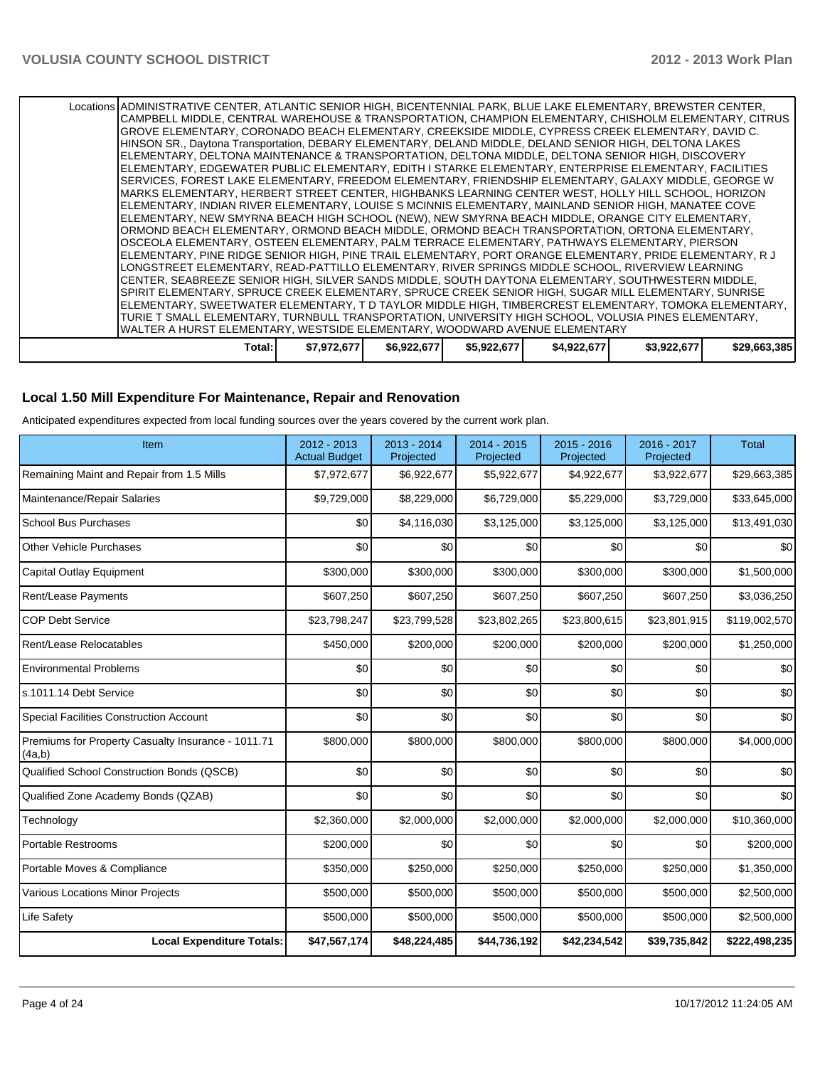Locations ADMINISTRATIVE CENTER, ATLANTIC SENIOR HIGH, BICENTENNIAL PARK, BLUE LAKE ELEMENTARY, BREWSTER CENTER, CAMPBELL MIDDLE, CENTRAL WAREHOUSE & TRANSPORTATION, CHAMPION ELEMENTARY, CHISHOLM ELEMENTARY, CITRUS GROVE ELEMENTARY, CORONADO BEACH ELEMENTARY, CREEKSIDE MIDDLE, CYPRESS CREEK ELEMENTARY, DAVID C. HINSON SR., Daytona Transportation, DEBARY ELEMENTARY, DELAND MIDDLE, DELAND SENIOR HIGH, DELTONA LAKES ELEMENTARY, DELTONA MAINTENANCE & TRANSPORTATION, DELTONA MIDDLE, DELTONA SENIOR HIGH, DISCOVERY ELEMENTARY, EDGEWATER PUBLIC ELEMENTARY, EDITH I STARKE ELEMENTARY, ENTERPRISE ELEMENTARY, FACILITIES SERVICES, FOREST LAKE ELEMENTARY, FREEDOM ELEMENTARY, FRIENDSHIP ELEMENTARY, GALAXY MIDDLE, GEORGE W MARKS ELEMENTARY, HERBERT STREET CENTER, HIGHBANKS LEARNING CENTER WEST, HOLLY HILL SCHOOL, HORIZON ELEMENTARY, INDIAN RIVER ELEMENTARY, LOUISE S MCINNIS ELEMENTARY, MAINLAND SENIOR HIGH, MANATEE COVE ELEMENTARY, NEW SMYRNA BEACH HIGH SCHOOL (NEW), NEW SMYRNA BEACH MIDDLE, ORANGE CITY ELEMENTARY, ORMOND BEACH ELEMENTARY, ORMOND BEACH MIDDLE, ORMOND BEACH TRANSPORTATION, ORTONA ELEMENTARY, OSCEOLA ELEMENTARY, OSTEEN ELEMENTARY, PALM TERRACE ELEMENTARY, PATHWAYS ELEMENTARY, PIERSON ELEMENTARY, PINE RIDGE SENIOR HIGH, PINE TRAIL ELEMENTARY, PORT ORANGE ELEMENTARY, PRIDE ELEMENTARY, R J LONGSTREET ELEMENTARY, READ-PATTILLO ELEMENTARY, RIVER SPRINGS MIDDLE SCHOOL, RIVERVIEW LEARNING CENTER, SEABREEZE SENIOR HIGH, SILVER SANDS MIDDLE, SOUTH DAYTONA ELEMENTARY, SOUTHWESTERN MIDDLE, SPIRIT ELEMENTARY, SPRUCE CREEK ELEMENTARY, SPRUCE CREEK SENIOR HIGH, SUGAR MILL ELEMENTARY, SUNRISE ELEMENTARY, SWEETWATER ELEMENTARY, T D TAYLOR MIDDLE HIGH, TIMBERCREST ELEMENTARY, TOMOKA ELEMENTARY, TURIE T SMALL ELEMENTARY, TURNBULL TRANSPORTATION, UNIVERSITY HIGH SCHOOL, VOLUSIA PINES ELEMENTARY, WALTER A HURST ELEMENTARY, WESTSIDE ELEMENTARY, WOODWARD AVENUE ELEMENTARY **Total: \$7,972,677 \$6,922,677 \$5,922,677 \$4,922,677 \$3,922,677 \$29,663,385**

#### **Local 1.50 Mill Expenditure For Maintenance, Repair and Renovation**

Anticipated expenditures expected from local funding sources over the years covered by the current work plan.

| Item                                                         | 2012 - 2013<br><b>Actual Budget</b> | $2013 - 2014$<br>Projected | 2014 - 2015<br>Projected | 2015 - 2016<br>Projected | 2016 - 2017<br>Projected | <b>Total</b>  |
|--------------------------------------------------------------|-------------------------------------|----------------------------|--------------------------|--------------------------|--------------------------|---------------|
| Remaining Maint and Repair from 1.5 Mills                    | \$7,972,677                         | \$6,922,677                | \$5,922,677              | \$4,922,677              | \$3,922,677              | \$29,663,385  |
| Maintenance/Repair Salaries                                  | \$9,729,000                         | \$8,229,000                | \$6,729,000              | \$5,229,000              | \$3,729,000              | \$33,645,000  |
| <b>School Bus Purchases</b>                                  | \$0                                 | \$4,116,030                | \$3,125,000              | \$3,125,000              | \$3,125,000              | \$13,491,030  |
| <b>Other Vehicle Purchases</b>                               | \$0                                 | \$0                        | \$0                      | \$0                      | \$0                      | \$0           |
| Capital Outlay Equipment                                     | \$300,000                           | \$300,000                  | \$300,000                | \$300,000                | \$300,000                | \$1,500,000   |
| Rent/Lease Payments                                          | \$607,250                           | \$607,250                  | \$607,250                | \$607,250                | \$607,250                | \$3,036,250   |
| <b>COP Debt Service</b>                                      | \$23,798,247                        | \$23,799,528               | \$23,802,265             | \$23,800,615             | \$23,801,915             | \$119,002,570 |
| Rent/Lease Relocatables                                      | \$450,000                           | \$200,000                  | \$200,000                | \$200,000                | \$200,000                | \$1,250,000   |
| <b>Environmental Problems</b>                                | \$0                                 | \$0                        | \$0                      | \$0                      | \$0                      | \$0           |
| s.1011.14 Debt Service                                       | \$0                                 | \$0                        | \$0                      | \$0                      | \$0                      | \$0           |
| <b>Special Facilities Construction Account</b>               | \$0                                 | \$0                        | \$0                      | \$0                      | \$0                      | \$0           |
| Premiums for Property Casualty Insurance - 1011.71<br>(4a,b) | \$800,000                           | \$800,000                  | \$800,000                | \$800,000                | \$800,000                | \$4,000,000   |
| Qualified School Construction Bonds (QSCB)                   | \$0                                 | \$0                        | \$0                      | \$0                      | \$0                      | \$0           |
| Qualified Zone Academy Bonds (QZAB)                          | \$0                                 | \$0                        | \$0                      | \$0                      | \$0                      | \$0           |
| Technology                                                   | \$2,360,000                         | \$2,000,000                | \$2,000,000              | \$2,000,000              | \$2,000,000              | \$10,360,000  |
| <b>Portable Restrooms</b>                                    | \$200,000                           | \$0                        | \$0                      | \$0                      | \$0                      | \$200,000     |
| Portable Moves & Compliance                                  | \$350,000                           | \$250,000                  | \$250,000                | \$250,000                | \$250,000                | \$1,350,000   |
| <b>Various Locations Minor Projects</b>                      | \$500,000                           | \$500,000                  | \$500,000                | \$500,000                | \$500,000                | \$2,500,000   |
| Life Safety                                                  | \$500,000                           | \$500,000                  | \$500,000                | \$500,000                | \$500,000                | \$2,500,000   |
| <b>Local Expenditure Totals:</b>                             | \$47,567,174                        | \$48,224,485               | \$44,736,192             | \$42,234,542             | \$39,735,842             | \$222,498,235 |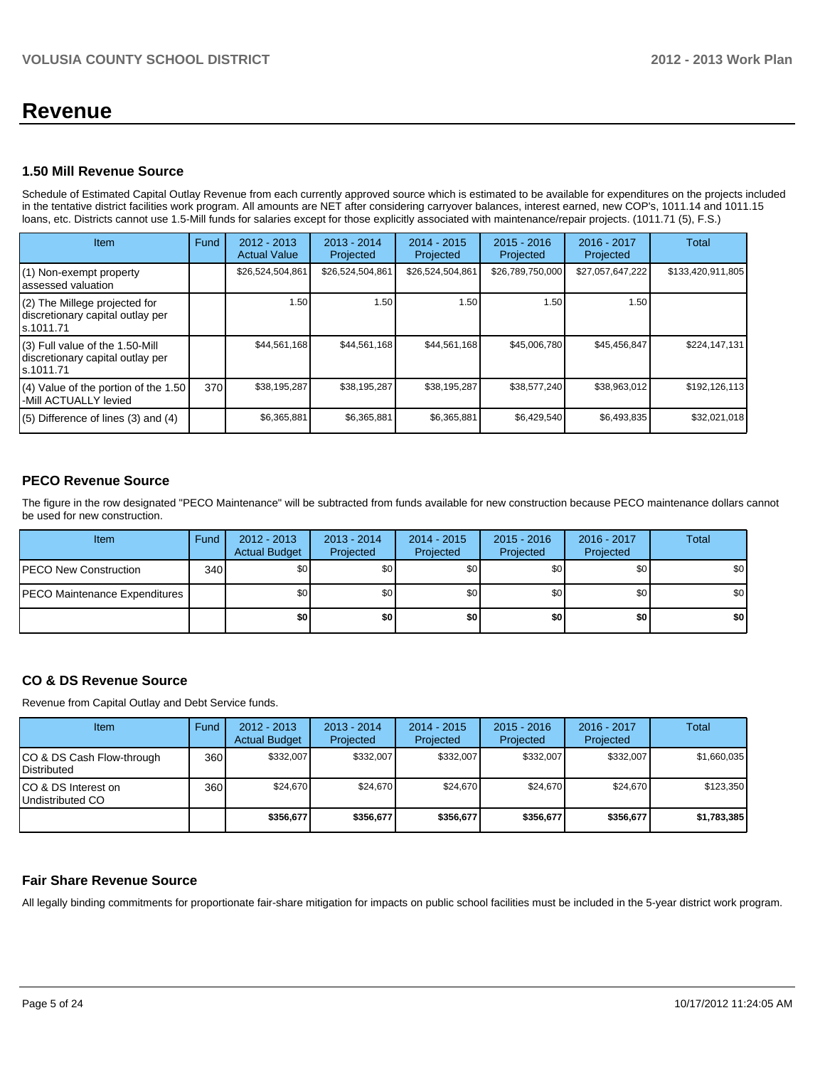# **Revenue**

#### **1.50 Mill Revenue Source**

Schedule of Estimated Capital Outlay Revenue from each currently approved source which is estimated to be available for expenditures on the projects included in the tentative district facilities work program. All amounts are NET after considering carryover balances, interest earned, new COP's, 1011.14 and 1011.15 loans, etc. Districts cannot use 1.5-Mill funds for salaries except for those explicitly associated with maintenance/repair projects. (1011.71 (5), F.S.)

| <b>Item</b>                                                                         | Fund | $2012 - 2013$<br><b>Actual Value</b> | $2013 - 2014$<br>Projected | $2014 - 2015$<br>Projected | $2015 - 2016$<br>Projected | 2016 - 2017<br>Projected | Total             |
|-------------------------------------------------------------------------------------|------|--------------------------------------|----------------------------|----------------------------|----------------------------|--------------------------|-------------------|
| (1) Non-exempt property<br>lassessed valuation                                      |      | \$26,524,504,861                     | \$26,524,504,861           | \$26,524,504,861           | \$26,789,750,000           | \$27,057,647,222         | \$133,420,911,805 |
| $(2)$ The Millege projected for<br>discretionary capital outlay per<br>ls.1011.71   |      | 1.50                                 | 1.50                       | 1.50                       | 1.50                       | 1.50                     |                   |
| $(3)$ Full value of the 1.50-Mill<br>discretionary capital outlay per<br>ls.1011.71 |      | \$44,561,168                         | \$44,561,168               | \$44,561,168               | \$45,006,780               | \$45,456,847             | \$224,147,131     |
| (4) Value of the portion of the 1.50<br>-Mill ACTUALLY levied                       | 370  | \$38,195,287                         | \$38,195,287               | \$38,195,287               | \$38,577,240               | \$38,963,012             | \$192,126,113     |
| $(5)$ Difference of lines $(3)$ and $(4)$                                           |      | \$6,365,881                          | \$6,365,881                | \$6,365,881                | \$6,429,540                | \$6,493,835              | \$32,021,018      |

# **PECO Revenue Source**

The figure in the row designated "PECO Maintenance" will be subtracted from funds available for new construction because PECO maintenance dollars cannot be used for new construction.

| Item                                  | Fund | $2012 - 2013$<br><b>Actual Budget</b> | $2013 - 2014$<br>Projected | $2014 - 2015$<br>Projected | $2015 - 2016$<br>Projected | 2016 - 2017<br>Projected | <b>Total</b> |
|---------------------------------------|------|---------------------------------------|----------------------------|----------------------------|----------------------------|--------------------------|--------------|
| <b>PECO New Construction</b>          | 340  | \$0                                   | \$0                        | \$0 <sub>1</sub>           | \$0 <sub>0</sub>           | \$0                      | \$0          |
| <b>IPECO Maintenance Expenditures</b> |      | \$0 <sub>1</sub>                      | \$0                        | \$0 <sub>1</sub>           | \$0 <sub>0</sub>           | \$0                      | \$0          |
|                                       |      | \$0                                   | \$0                        | \$0 <sub>1</sub>           | \$0 l                      | \$0                      | \$0          |

## **CO & DS Revenue Source**

Revenue from Capital Outlay and Debt Service funds.

| Item                                               | Fund | $2012 - 2013$<br><b>Actual Budget</b> | $2013 - 2014$<br>Projected | 2014 - 2015<br>Projected | $2015 - 2016$<br>Projected | $2016 - 2017$<br>Projected | Total       |
|----------------------------------------------------|------|---------------------------------------|----------------------------|--------------------------|----------------------------|----------------------------|-------------|
| ICO & DS Cash Flow-through<br><b>I</b> Distributed | 360  | \$332,007                             | \$332,007                  | \$332,007                | \$332,007                  | \$332,007                  | \$1,660,035 |
| ICO & DS Interest on<br>Undistributed CO           | 360  | \$24.670                              | \$24,670                   | \$24,670                 | \$24.670                   | \$24,670                   | \$123,350   |
|                                                    |      | \$356,677                             | \$356,677                  | \$356,677                | \$356,677                  | \$356,677                  | \$1,783,385 |

#### **Fair Share Revenue Source**

All legally binding commitments for proportionate fair-share mitigation for impacts on public school facilities must be included in the 5-year district work program.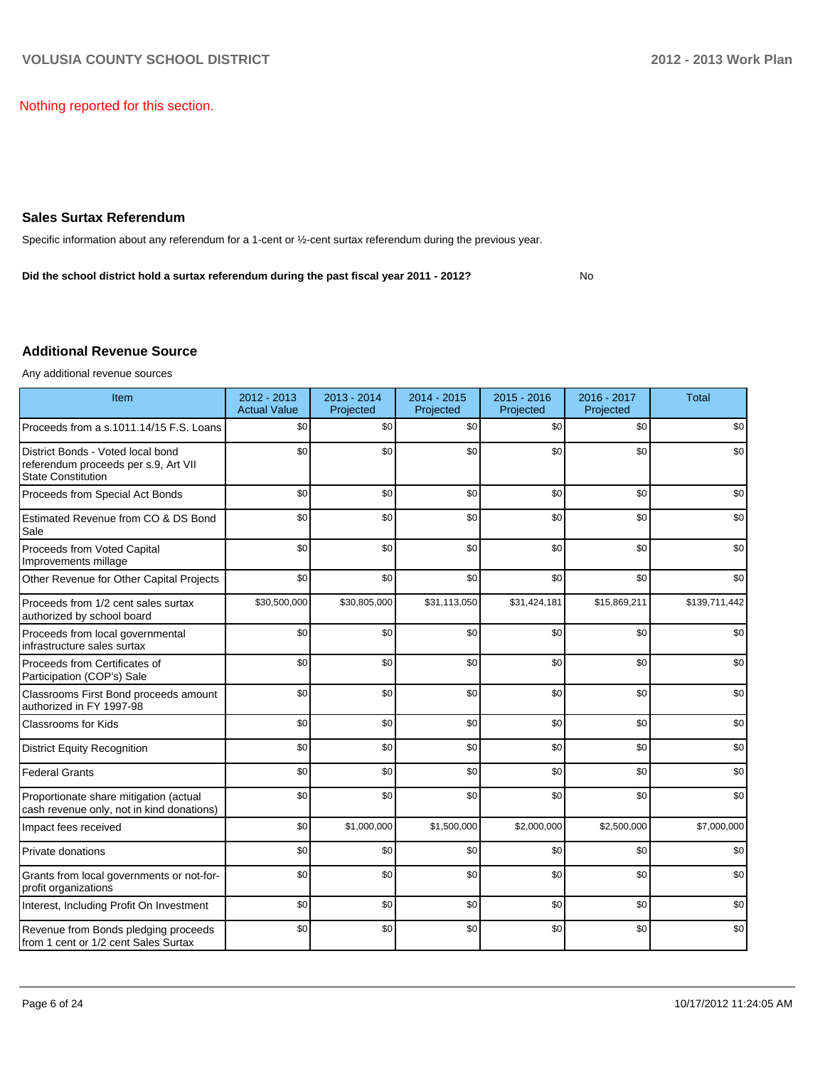No

Nothing reported for this section.

#### **Sales Surtax Referendum**

Specific information about any referendum for a 1-cent or ½-cent surtax referendum during the previous year.

**Did the school district hold a surtax referendum during the past fiscal year 2011 - 2012?**

### **Additional Revenue Source**

Any additional revenue sources

| Item                                                                                                   | 2012 - 2013<br><b>Actual Value</b> | 2013 - 2014<br>Projected | 2014 - 2015<br>Projected | 2015 - 2016<br>Projected | 2016 - 2017<br>Projected | <b>Total</b>  |
|--------------------------------------------------------------------------------------------------------|------------------------------------|--------------------------|--------------------------|--------------------------|--------------------------|---------------|
| Proceeds from a s.1011.14/15 F.S. Loans                                                                | \$0                                | \$0                      | \$0                      | \$0                      | \$0                      | \$0           |
| District Bonds - Voted local bond<br>referendum proceeds per s.9, Art VII<br><b>State Constitution</b> | \$0                                | \$0                      | \$0                      | \$0                      | \$0                      | \$0           |
| Proceeds from Special Act Bonds                                                                        | \$0                                | \$0                      | \$0                      | \$0                      | \$0                      | \$0           |
| Estimated Revenue from CO & DS Bond<br>Sale                                                            | \$0                                | \$0                      | \$0                      | \$0                      | \$0                      | \$0           |
| Proceeds from Voted Capital<br>Improvements millage                                                    | \$0                                | \$0                      | \$0                      | \$0                      | \$0                      | \$0           |
| Other Revenue for Other Capital Projects                                                               | \$0                                | \$0                      | \$0                      | \$0                      | \$0                      | \$0           |
| Proceeds from 1/2 cent sales surtax<br>authorized by school board                                      | \$30,500,000                       | \$30,805,000             | \$31,113,050             | \$31,424,181             | \$15,869,211             | \$139,711,442 |
| Proceeds from local governmental<br>infrastructure sales surtax                                        | \$0                                | \$0                      | \$0                      | \$0                      | \$0                      | \$0           |
| Proceeds from Certificates of<br>Participation (COP's) Sale                                            | \$0                                | \$0                      | \$0                      | \$0                      | \$0                      | \$0           |
| Classrooms First Bond proceeds amount<br>authorized in FY 1997-98                                      | \$0                                | \$0                      | \$0                      | \$0                      | \$0                      | \$0           |
| <b>Classrooms for Kids</b>                                                                             | \$0                                | \$0                      | \$0                      | \$0                      | \$0                      | \$0           |
| <b>District Equity Recognition</b>                                                                     | \$0                                | \$0                      | \$0                      | \$0                      | \$0                      | \$0           |
| <b>Federal Grants</b>                                                                                  | \$0                                | \$0                      | \$0                      | \$0                      | \$0                      | \$0           |
| Proportionate share mitigation (actual<br>cash revenue only, not in kind donations)                    | \$0                                | \$0                      | \$0                      | \$0                      | \$0                      | \$0           |
| Impact fees received                                                                                   | \$0                                | \$1,000,000              | \$1,500,000              | \$2,000,000              | \$2,500,000              | \$7,000,000   |
| Private donations                                                                                      | \$0                                | \$0                      | \$0                      | \$0                      | \$0                      | \$0           |
| Grants from local governments or not-for-<br>profit organizations                                      | \$0                                | \$0                      | \$0                      | \$0                      | \$0                      | \$0           |
| Interest, Including Profit On Investment                                                               | \$0                                | \$0                      | \$0                      | \$0                      | \$0                      | \$0           |
| Revenue from Bonds pledging proceeds<br>from 1 cent or 1/2 cent Sales Surtax                           | \$0                                | \$0                      | \$0                      | \$0                      | \$0                      | \$0           |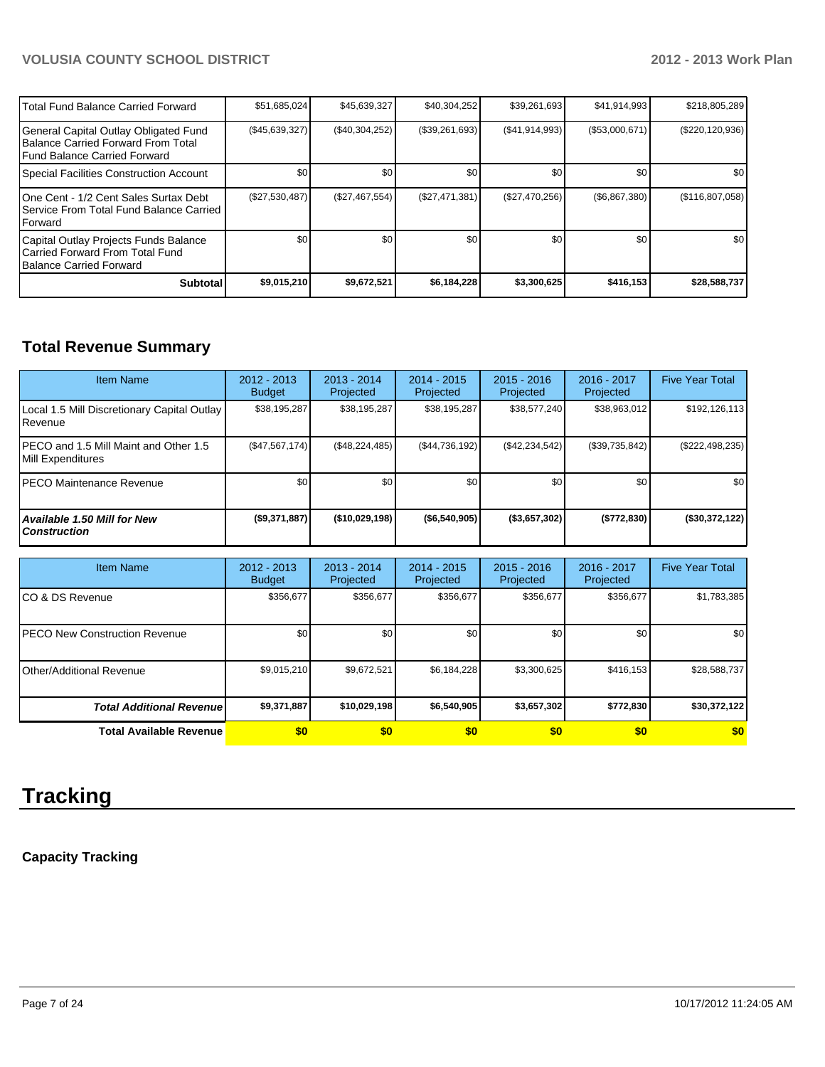| l Total Fund Balance Carried Forward                                                                                | \$51,685,024     | \$45,639,327   | \$40,304,252   | \$39,261,693    | \$41,914,993     | \$218,805,289       |
|---------------------------------------------------------------------------------------------------------------------|------------------|----------------|----------------|-----------------|------------------|---------------------|
| General Capital Outlay Obligated Fund<br><b>IBalance Carried Forward From Total</b><br>Fund Balance Carried Forward | $(\$45,639,327)$ | (\$40,304,252) | (\$39,261,693) | (S41, 914, 993) | (\$53,000,671)   | $(\$220, 120, 936)$ |
| Special Facilities Construction Account                                                                             | \$0              | \$0            | \$0            | \$0             | \$0 <sub>1</sub> | <b>SO</b>           |
| 10ne Cent - 1/2 Cent Sales Surtax Debt<br>I Service From Total Fund Balance Carried<br><b>IForward</b>              | (\$27,530,487)   | (\$27,467,554) | (\$27,471,381) | (\$27,470,256)  | (\$6,867,380)    | (\$116,807,058)     |
| Capital Outlay Projects Funds Balance<br>Carried Forward From Total Fund<br>Balance Carried Forward                 | \$0              | \$0            | \$0            | \$0             | \$0 <sub>1</sub> | \$0 <sub>1</sub>    |
| <b>Subtotal</b>                                                                                                     | \$9,015,210      | \$9,672,521    | \$6,184,228    | \$3,300,625     | \$416, 153       | \$28,588,737        |

# **Total Revenue Summary**

| <b>Item Name</b>                                           | $2012 - 2013$<br><b>Budget</b> | $2013 - 2014$<br>Projected | $2014 - 2015$<br>Projected | $2015 - 2016$<br>Projected | $2016 - 2017$<br>Projected | <b>Five Year Total</b> |
|------------------------------------------------------------|--------------------------------|----------------------------|----------------------------|----------------------------|----------------------------|------------------------|
| Local 1.5 Mill Discretionary Capital Outlay<br>Revenue     | \$38,195,287                   | \$38,195,287               | \$38,195,287               | \$38,577,240               | \$38,963,012               | \$192,126,113          |
| PECO and 1.5 Mill Maint and Other 1.5<br>Mill Expenditures | (S47, 567, 174)                | (S48.224.485)              | (S44, 736, 192)            | (\$42,234,542)             | (\$39,735,842)             | (\$222,498,235)        |
| <b>IPECO Maintenance Revenue</b>                           | \$0                            | \$0                        | \$0                        | \$0 <sub>1</sub>           | \$0                        | \$0                    |
| <b>Available 1.50 Mill for New</b><br><b>Construction</b>  | (\$9,371,887)                  | (\$10,029,198)             | ( \$6,540,905)             | $($ \$3,657,302)           | (\$772,830)                | (\$30,372,122)         |

| <b>Item Name</b>                      | 2012 - 2013<br><b>Budget</b> | $2013 - 2014$<br>Projected | $2014 - 2015$<br>Projected | $2015 - 2016$<br>Projected | 2016 - 2017<br>Projected | <b>Five Year Total</b> |
|---------------------------------------|------------------------------|----------------------------|----------------------------|----------------------------|--------------------------|------------------------|
| ICO & DS Revenue                      | \$356,677                    | \$356,677                  | \$356,677                  | \$356,677                  | \$356,677                | \$1,783,385            |
| <b>IPECO New Construction Revenue</b> | \$0                          | \$0                        | \$0                        | \$0                        | \$0                      | \$0 <sub>1</sub>       |
| Other/Additional Revenue              | \$9,015,210                  | \$9,672,521                | \$6,184,228                | \$3,300,625                | \$416, 153               | \$28,588,737           |
| <b>Total Additional Revenuel</b>      | \$9,371,887                  | \$10,029,198               | \$6,540,905                | \$3,657,302                | \$772,830                | \$30,372,122           |
| <b>Total Available Revenue</b>        | \$0                          | \$0                        | \$0                        | \$0                        | \$0                      | \$0                    |

# **Tracking**

# **Capacity Tracking**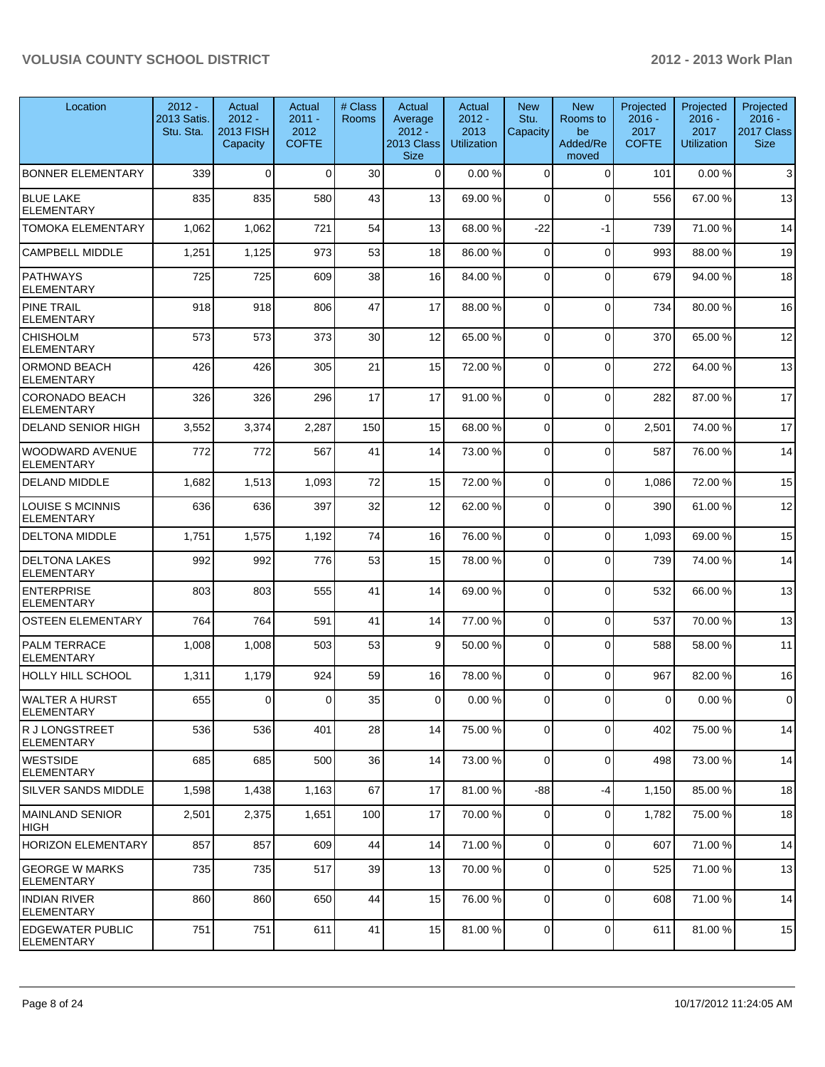| Location                                     | $2012 -$<br>2013 Satis.<br>Stu. Sta. | Actual<br>$2012 -$<br><b>2013 FISH</b><br>Capacity | Actual<br>$2011 -$<br>2012<br><b>COFTE</b> | # Class<br><b>Rooms</b> | Actual<br>Average<br>$2012 -$<br>2013 Class<br><b>Size</b> | Actual<br>$2012 -$<br>2013<br><b>Utilization</b> | <b>New</b><br>Stu.<br>Capacity | <b>New</b><br>Rooms to<br>be<br>Added/Re<br>moved | Projected<br>$2016 -$<br>2017<br><b>COFTE</b> | Projected<br>$2016 -$<br>2017<br><b>Utilization</b> | Projected<br>$2016 -$<br>2017 Class<br><b>Size</b> |
|----------------------------------------------|--------------------------------------|----------------------------------------------------|--------------------------------------------|-------------------------|------------------------------------------------------------|--------------------------------------------------|--------------------------------|---------------------------------------------------|-----------------------------------------------|-----------------------------------------------------|----------------------------------------------------|
| <b>BONNER ELEMENTARY</b>                     | 339                                  | $\Omega$                                           | $\Omega$                                   | 30                      | $\Omega$                                                   | 0.00%                                            | $\Omega$                       | $\Omega$                                          | 101                                           | 0.00%                                               | $\sqrt{3}$                                         |
| <b>BLUE LAKE</b><br><b>ELEMENTARY</b>        | 835                                  | 835                                                | 580                                        | 43                      | 13                                                         | 69.00 %                                          | $\Omega$                       | $\Omega$                                          | 556                                           | 67.00%                                              | 13                                                 |
| TOMOKA ELEMENTARY                            | 1,062                                | 1,062                                              | 721                                        | 54                      | 13                                                         | 68.00 %                                          | $-22$                          | $-1$                                              | 739                                           | 71.00%                                              | 14                                                 |
| <b>CAMPBELL MIDDLE</b>                       | 1,251                                | 1,125                                              | 973                                        | 53                      | 18                                                         | 86.00 %                                          | $\Omega$                       | $\Omega$                                          | 993                                           | 88.00%                                              | 19                                                 |
| <b>PATHWAYS</b><br><b>ELEMENTARY</b>         | 725                                  | 725                                                | 609                                        | 38                      | 16                                                         | 84.00 %                                          | $\Omega$                       | $\Omega$                                          | 679                                           | 94.00%                                              | 18                                                 |
| <b>PINE TRAIL</b><br><b>ELEMENTARY</b>       | 918                                  | 918                                                | 806                                        | 47                      | 17                                                         | 88.00 %                                          | $\Omega$                       | $\mathbf{0}$                                      | 734                                           | 80.00%                                              | 16                                                 |
| <b>CHISHOLM</b><br><b>ELEMENTARY</b>         | 573                                  | 573                                                | 373                                        | 30                      | 12                                                         | 65.00 %                                          | $\Omega$                       | $\mathbf{0}$                                      | 370                                           | 65.00 %                                             | 12                                                 |
| <b>ORMOND BEACH</b><br><b>ELEMENTARY</b>     | 426                                  | 426                                                | 305                                        | 21                      | 15                                                         | 72.00 %                                          | $\Omega$                       | $\mathbf{0}$                                      | 272                                           | 64.00%                                              | 13                                                 |
| <b>CORONADO BEACH</b><br><b>ELEMENTARY</b>   | 326                                  | 326                                                | 296                                        | 17                      | 17                                                         | 91.00 %                                          | $\Omega$                       | $\Omega$                                          | 282                                           | 87.00 %                                             | 17                                                 |
| <b>DELAND SENIOR HIGH</b>                    | 3,552                                | 3,374                                              | 2,287                                      | 150                     | 15                                                         | 68.00 %                                          | $\Omega$                       | $\mathbf 0$                                       | 2,501                                         | 74.00%                                              | 17                                                 |
| <b>WOODWARD AVENUE</b><br><b>ELEMENTARY</b>  | 772                                  | 772                                                | 567                                        | 41                      | 14                                                         | 73.00 %                                          | $\Omega$                       | $\Omega$                                          | 587                                           | 76.00%                                              | 14                                                 |
| <b>DELAND MIDDLE</b>                         | 1,682                                | 1,513                                              | 1,093                                      | 72                      | 15                                                         | 72.00 %                                          | $\overline{0}$                 | 0                                                 | 1,086                                         | 72.00%                                              | 15                                                 |
| <b>LOUISE S MCINNIS</b><br><b>ELEMENTARY</b> | 636                                  | 636                                                | 397                                        | 32                      | 12                                                         | 62.00 %                                          | $\Omega$                       | $\mathbf{0}$                                      | 390                                           | 61.00%                                              | 12                                                 |
| <b>DELTONA MIDDLE</b>                        | 1,751                                | 1,575                                              | 1,192                                      | 74                      | 16                                                         | 76.00 %                                          | $\Omega$                       | $\mathbf 0$                                       | 1,093                                         | 69.00%                                              | 15                                                 |
| <b>DELTONA LAKES</b><br><b>ELEMENTARY</b>    | 992                                  | 992                                                | 776                                        | 53                      | 15                                                         | 78.00 %                                          | 0                              | $\mathbf 0$                                       | 739                                           | 74.00%                                              | 14                                                 |
| <b>ENTERPRISE</b><br><b>ELEMENTARY</b>       | 803                                  | 803                                                | 555                                        | 41                      | 14                                                         | 69.00 %                                          | $\Omega$                       | $\mathbf 0$                                       | 532                                           | 66.00%                                              | 13                                                 |
| <b>OSTEEN ELEMENTARY</b>                     | 764                                  | 764                                                | 591                                        | 41                      | 14                                                         | 77.00 %                                          | $\overline{0}$                 | $\mathbf 0$                                       | 537                                           | 70.00%                                              | 13                                                 |
| PALM TERRACE<br><b>ELEMENTARY</b>            | 1,008                                | 1,008                                              | 503                                        | 53                      | $\vert 9 \vert$                                            | 50.00 %                                          | $\Omega$                       | $\overline{0}$                                    | 588                                           | 58.00 %                                             | 11                                                 |
| <b>HOLLY HILL SCHOOL</b>                     | 1,311                                | 1,179                                              | 924                                        | 59                      | 16                                                         | 78.00 %                                          | $\Omega$                       | $\mathbf{0}$                                      | 967                                           | 82.00%                                              | 16                                                 |
| <b>WALTER A HURST</b><br>ELEMENTARY          | 655                                  | $\mathbf 0$                                        | 0                                          | 35                      | $\overline{0}$                                             | 0.00 %                                           | $\overline{0}$                 | 0                                                 | $\boldsymbol{0}$                              | $0.00 \%$                                           | $\mathbf 0$                                        |
| R J LONGSTREET<br><b>ELEMENTARY</b>          | 536                                  | 536                                                | 401                                        | 28                      | 14                                                         | 75.00 %                                          | $\overline{0}$                 | 0                                                 | 402                                           | 75.00 %                                             | 14                                                 |
| IWESTSIDE<br><b>ELEMENTARY</b>               | 685                                  | 685                                                | 500                                        | 36                      | 14                                                         | 73.00 %                                          | $\Omega$                       | 0                                                 | 498                                           | 73.00 %                                             | 14                                                 |
| ISILVER SANDS MIDDLE                         | 1,598                                | 1,438                                              | 1,163                                      | 67                      | 17                                                         | 81.00%                                           | $-88$                          | $-4$                                              | 1,150                                         | 85.00 %                                             | 18                                                 |
| MAINLAND SENIOR<br> HIGH                     | 2,501                                | 2,375                                              | 1,651                                      | 100                     | 17                                                         | 70.00 %                                          | $\overline{0}$                 | 0                                                 | 1,782                                         | 75.00 %                                             | 18                                                 |
| HORIZON ELEMENTARY                           | 857                                  | 857                                                | 609                                        | 44                      | 14                                                         | 71.00 %                                          | $\Omega$                       | 0                                                 | 607                                           | 71.00%                                              | 14                                                 |
| <b>GEORGE W MARKS</b><br> ELEMENTARY         | 735                                  | 735                                                | 517                                        | 39                      | 13                                                         | 70.00 %                                          | $\overline{0}$                 | 0                                                 | 525                                           | 71.00%                                              | 13                                                 |
| <b>INDIAN RIVER</b><br><b>ELEMENTARY</b>     | 860                                  | 860                                                | 650                                        | 44                      | 15                                                         | 76.00 %                                          | $\overline{0}$                 | $\mathbf 0$                                       | 608                                           | 71.00 %                                             | 14                                                 |
| <b>EDGEWATER PUBLIC</b><br>ELEMENTARY        | 751                                  | 751                                                | 611                                        | 41                      | 15                                                         | 81.00 %                                          | $\overline{0}$                 | 0                                                 | 611                                           | 81.00%                                              | 15                                                 |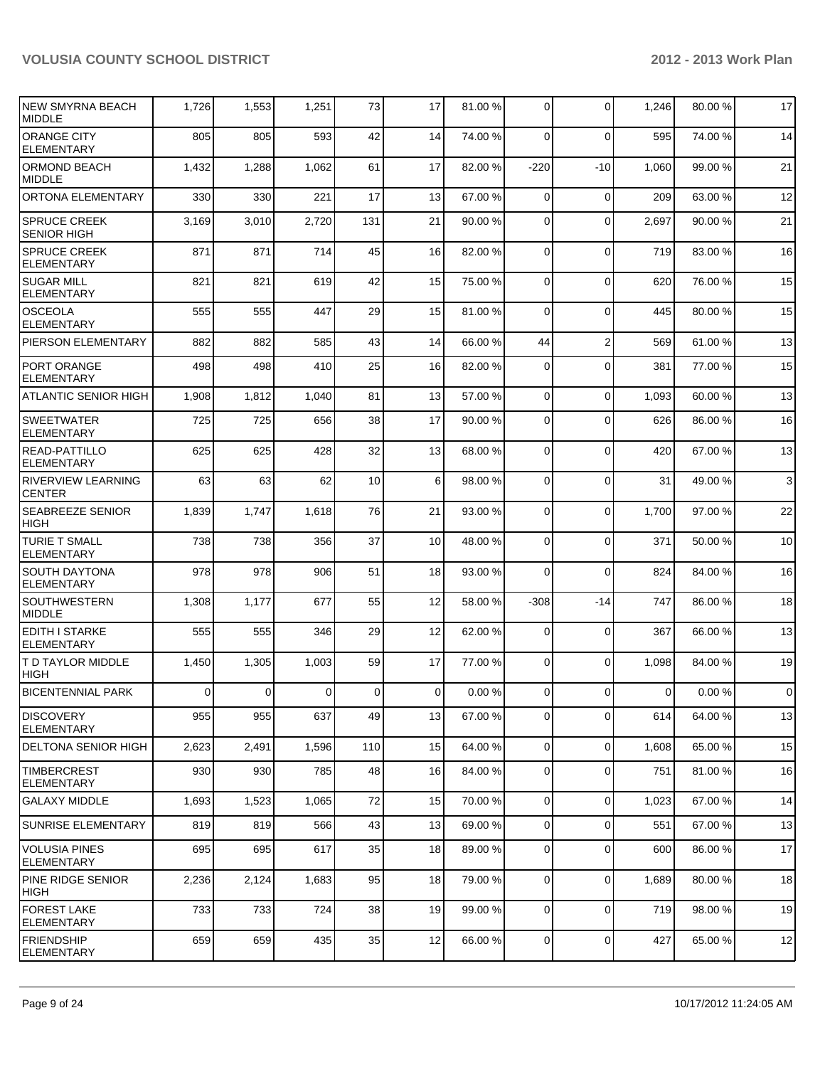| NEW SMYRNA BEACH<br><b>MIDDLE</b>          | 1,726 | 1,553          | 1,251          | 73             | 17              | 81.00 % | $\overline{0}$ | 0              | 1,246          | 80.00%  | 17             |
|--------------------------------------------|-------|----------------|----------------|----------------|-----------------|---------|----------------|----------------|----------------|---------|----------------|
| <b>ORANGE CITY</b><br>ELEMENTARY           | 805   | 805            | 593            | 42             | 14              | 74.00 % | $\Omega$       | 0              | 595            | 74.00 % | 14             |
| ORMOND BEACH<br><b>IMIDDLE</b>             | 1,432 | 1,288          | 1,062          | 61             | 17              | 82.00 % | $-220$         | $-10$          | 1,060          | 99.00 % | 21             |
| ORTONA ELEMENTARY                          | 330   | 330            | 221            | 17             | 13              | 67.00 % | $\Omega$       | $\mathbf 0$    | 209            | 63.00 % | 12             |
| <b>SPRUCE CREEK</b><br><b>SENIOR HIGH</b>  | 3,169 | 3,010          | 2,720          | 131            | 21              | 90.00 % | $\Omega$       | 0              | 2,697          | 90.00%  | 21             |
| <b>SPRUCE CREEK</b><br><b>ELEMENTARY</b>   | 871   | 871            | 714            | 45             | 16              | 82.00 % | $\Omega$       | $\mathbf 0$    | 719            | 83.00%  | 16             |
| <b>SUGAR MILL</b><br><b>ELEMENTARY</b>     | 821   | 821            | 619            | 42             | 15              | 75.00 % | $\Omega$       | $\mathbf 0$    | 620            | 76.00%  | 15             |
| OSCEOLA<br>ELEMENTARY                      | 555   | 555            | 447            | 29             | 15              | 81.00 % | $\Omega$       | 0              | 445            | 80.00%  | 15             |
| <b>PIERSON ELEMENTARY</b>                  | 882   | 882            | 585            | 43             | 14              | 66.00 % | 44             | $\overline{2}$ | 569            | 61.00%  | 13             |
| <b>PORT ORANGE</b><br><b>ELEMENTARY</b>    | 498   | 498            | 410            | 25             | 16              | 82.00 % | $\Omega$       | 0              | 381            | 77.00 % | 15             |
| <b>ATLANTIC SENIOR HIGH</b>                | 1,908 | 1,812          | 1,040          | 81             | 13              | 57.00 % | $\Omega$       | 0              | 1,093          | 60.00%  | 13             |
| <b>SWEETWATER</b><br><b>ELEMENTARY</b>     | 725   | 725            | 656            | 38             | 17              | 90.00 % | $\Omega$       | $\Omega$       | 626            | 86.00 % | 16             |
| READ-PATTILLO<br><b>ELEMENTARY</b>         | 625   | 625            | 428            | 32             | 13 <sup>1</sup> | 68.00 % | $\Omega$       | $\Omega$       | 420            | 67.00%  | 13             |
| <b>RIVERVIEW LEARNING</b><br><b>CENTER</b> | 63    | 63             | 62             | 10             | 6 <sup>1</sup>  | 98.00 % | $\Omega$       | 0              | 31             | 49.00%  | $\mathbf{3}$   |
| <b>SEABREEZE SENIOR</b><br><b>HIGH</b>     | 1,839 | 1,747          | 1,618          | 76             | 21              | 93.00 % | $\Omega$       | $\Omega$       | 1,700          | 97.00 % | 22             |
| <b>TURIE T SMALL</b><br>ELEMENTARY         | 738   | 738            | 356            | 37             | 10 <sup>1</sup> | 48.00 % | $\Omega$       | $\mathbf 0$    | 371            | 50.00 % | 10             |
| <b>SOUTH DAYTONA</b><br><b>ELEMENTARY</b>  | 978   | 978            | 906            | 51             | 18              | 93.00 % | $\Omega$       | $\mathbf 0$    | 824            | 84.00%  | 16             |
| <b>SOUTHWESTERN</b><br><b>MIDDLE</b>       | 1,308 | 1,177          | 677            | 55             | 12              | 58.00 % | $-308$         | $-14$          | 747            | 86.00 % | 18             |
| IEDITH I STARKE<br><b>ELEMENTARY</b>       | 555   | 555            | 346            | 29             | 12              | 62.00 % | 0              | $\mathbf 0$    | 367            | 66.00 % | 13             |
| <b>T D TAYLOR MIDDLE</b><br><b>HIGH</b>    | 1,450 | 1,305          | 1,003          | 59             | 17              | 77.00 % | $\Omega$       | $\mathbf 0$    | 1,098          | 84.00 % | 19             |
| <b>BICENTENNIAL PARK</b>                   | 0     | $\overline{0}$ | $\overline{0}$ | $\overline{0}$ | $\overline{0}$  | 0.00%   | $\overline{0}$ | $\overline{0}$ | $\overline{0}$ | 0.00%   | $\overline{0}$ |
| <b>DISCOVERY</b><br>ELEMENTARY             | 955   | 955            | 637            | 49             | 13              | 67.00 % | $\overline{0}$ | 0              | 614            | 64.00 % | 13             |
| DELTONA SENIOR HIGH                        | 2,623 | 2,491          | 1,596          | 110            | 15              | 64.00 % | $\overline{0}$ | 0              | 1,608          | 65.00 % | 15             |
| TIMBERCREST<br><b>ELEMENTARY</b>           | 930   | 930            | 785            | 48             | 16              | 84.00 % | $\overline{0}$ | 0              | 751            | 81.00%  | 16             |
| GALAXY MIDDLE                              | 1,693 | 1,523          | 1,065          | 72             | 15              | 70.00 % | $\overline{0}$ | 0              | 1,023          | 67.00 % | 14             |
| <b>SUNRISE ELEMENTARY</b>                  | 819   | 819            | 566            | 43             | 13              | 69.00 % | $\overline{0}$ | 0              | 551            | 67.00 % | 13             |
| VOLUSIA PINES<br><b>ELEMENTARY</b>         | 695   | 695            | 617            | 35             | 18              | 89.00 % | 0              | 0              | 600            | 86.00 % | 17             |
| PINE RIDGE SENIOR<br> HIGH                 | 2,236 | 2,124          | 1,683          | 95             | 18              | 79.00 % | $\overline{0}$ | $\mathbf 0$    | 1,689          | 80.00 % | 18             |
| <b>FOREST LAKE</b><br>ELEMENTARY           | 733   | 733            | 724            | 38             | 19              | 99.00 % | $\overline{0}$ | 0              | 719            | 98.00 % | 19             |
| <b>FRIENDSHIP</b><br>ELEMENTARY            | 659   | 659            | 435            | 35             | 12              | 66.00 % | $\overline{0}$ | 0              | 427            | 65.00 % | 12             |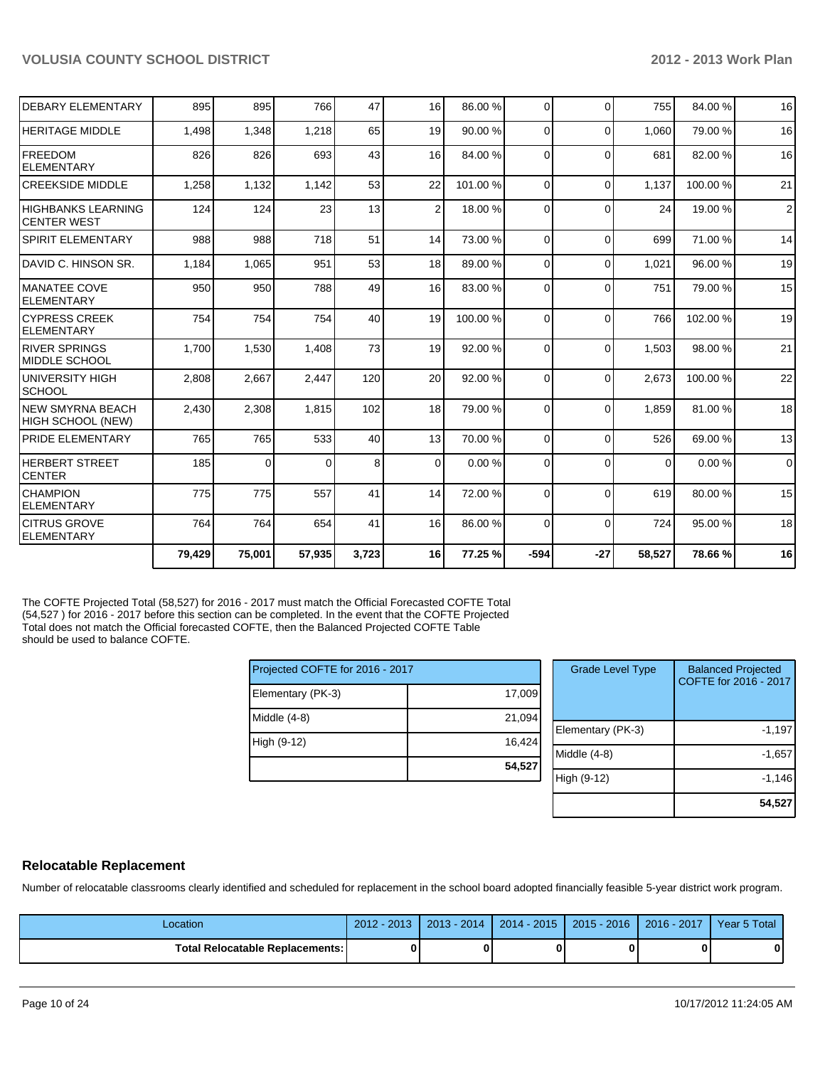| <b>DEBARY ELEMENTARY</b>                        | 895    | 895      | 766    | 47    | 16              | 86.00 % | $\Omega$       | $\Omega$ | 755      | 84.00%  | 16             |
|-------------------------------------------------|--------|----------|--------|-------|-----------------|---------|----------------|----------|----------|---------|----------------|
| <b>HERITAGE MIDDLE</b>                          | 1,498  | 1,348    | 1,218  | 65    | 19              | 90.00 % | $\Omega$       | $\Omega$ | 1,060    | 79.00 % | 16             |
| <b>IFREEDOM</b><br><b>IELEMENTARY</b>           | 826    | 826      | 693    | 43    | 16              | 84.00 % | $\Omega$       | $\Omega$ | 681      | 82.00 % | 16             |
| <b>CREEKSIDE MIDDLE</b>                         | 1,258  | 1,132    | 1,142  | 53    | 22              | 101.00% | 0              | $\Omega$ | 1.137    | 100.00% | 21             |
| <b>HIGHBANKS LEARNING</b><br><b>CENTER WEST</b> | 124    | 124      | 23     | 13    | $\overline{2}$  | 18.00 % | $\Omega$       | $\Omega$ | 24       | 19.00 % | $\overline{2}$ |
| <b>SPIRIT ELEMENTARY</b>                        | 988    | 988      | 718    | 51    | 14              | 73.00 % | $\Omega$       | $\Omega$ | 699      | 71.00 % | 14             |
| IDAVID C. HINSON SR.                            | 1,184  | 1,065    | 951    | 53    | 18 <sup>1</sup> | 89.00 % | $\overline{0}$ | $\Omega$ | 1,021    | 96.00 % | 19             |
| IMANATEE COVE<br>IELEMENTARY                    | 950    | 950      | 788    | 49    | 16              | 83.00 % | $\Omega$       | $\Omega$ | 751      | 79.00 % | 15             |
| <b>CYPRESS CREEK</b><br><b>IELEMENTARY</b>      | 754    | 754      | 754    | 40    | 19              | 100.00% | 0              | $\Omega$ | 766      | 102.00% | 19             |
| <b>RIVER SPRINGS</b><br>IMIDDLE SCHOOL          | 1,700  | 1,530    | 1,408  | 73    | 19              | 92.00 % | $\Omega$       | $\Omega$ | 1,503    | 98.00 % | 21             |
| IUNIVERSITY HIGH<br><b>SCHOOL</b>               | 2,808  | 2,667    | 2,447  | 120   | 20 <sup>1</sup> | 92.00 % | $\Omega$       | $\Omega$ | 2,673    | 100.00% | 22             |
| <b>INEW SMYRNA BEACH</b><br>HIGH SCHOOL (NEW)   | 2,430  | 2,308    | 1,815  | 102   | 18              | 79.00 % | $\Omega$       | $\Omega$ | 1,859    | 81.00%  | 18             |
| <b>PRIDE ELEMENTARY</b>                         | 765    | 765      | 533    | 40    | 13              | 70.00 % | $\Omega$       | $\Omega$ | 526      | 69.00 % | 13             |
| <b>HERBERT STREET</b><br>ICENTER                | 185    | $\Omega$ | 0      | 8     | $\Omega$        | 0.00%   | 0              | $\Omega$ | $\Omega$ | 0.00%   | $\mathbf 0$    |
| <b>CHAMPION</b><br><b>ELEMENTARY</b>            | 775    | 775      | 557    | 41    | 14              | 72.00 % | $\Omega$       | $\Omega$ | 619      | 80.00%  | 15             |
| <b>ICITRUS GROVE</b><br><b>ELEMENTARY</b>       | 764    | 764      | 654    | 41    | 16              | 86.00 % | $\Omega$       | $\Omega$ | 724      | 95.00 % | 18             |
|                                                 | 79,429 | 75,001   | 57,935 | 3,723 | 16              | 77.25 % | $-594$         | $-27$    | 58,527   | 78.66%  | 16             |

The COFTE Projected Total (58,527) for 2016 - 2017 must match the Official Forecasted COFTE Total (54,527 ) for 2016 - 2017 before this section can be completed. In the event that the COFTE Projected Total does not match the Official forecasted COFTE, then the Balanced Projected COFTE Table should be used to balance COFTE.

| Projected COFTE for 2016 - 2017 |        |
|---------------------------------|--------|
| Elementary (PK-3)               | 17,009 |
| Middle $(4-8)$                  | 21,094 |
| High (9-12)                     | 16,424 |
|                                 | 54,527 |

| <b>Grade Level Type</b> | <b>Balanced Projected</b><br>COFTE for 2016 - 2017 |
|-------------------------|----------------------------------------------------|
| Elementary (PK-3)       | $-1,197$                                           |
| Middle (4-8)            | $-1,657$                                           |
| High (9-12)             | $-1,146$                                           |
|                         | 54,527                                             |

## **Relocatable Replacement**

Number of relocatable classrooms clearly identified and scheduled for replacement in the school board adopted financially feasible 5-year district work program.

| Location                        | $2012 - 2013$ | 2013 - 2014 | $ 2014 - 2015 $ | 2015 - 2016 1 | $2016 - 2017$ | <b>Year 5 Total</b> |
|---------------------------------|---------------|-------------|-----------------|---------------|---------------|---------------------|
| Total Relocatable Replacements: |               |             | 0               |               |               | 0                   |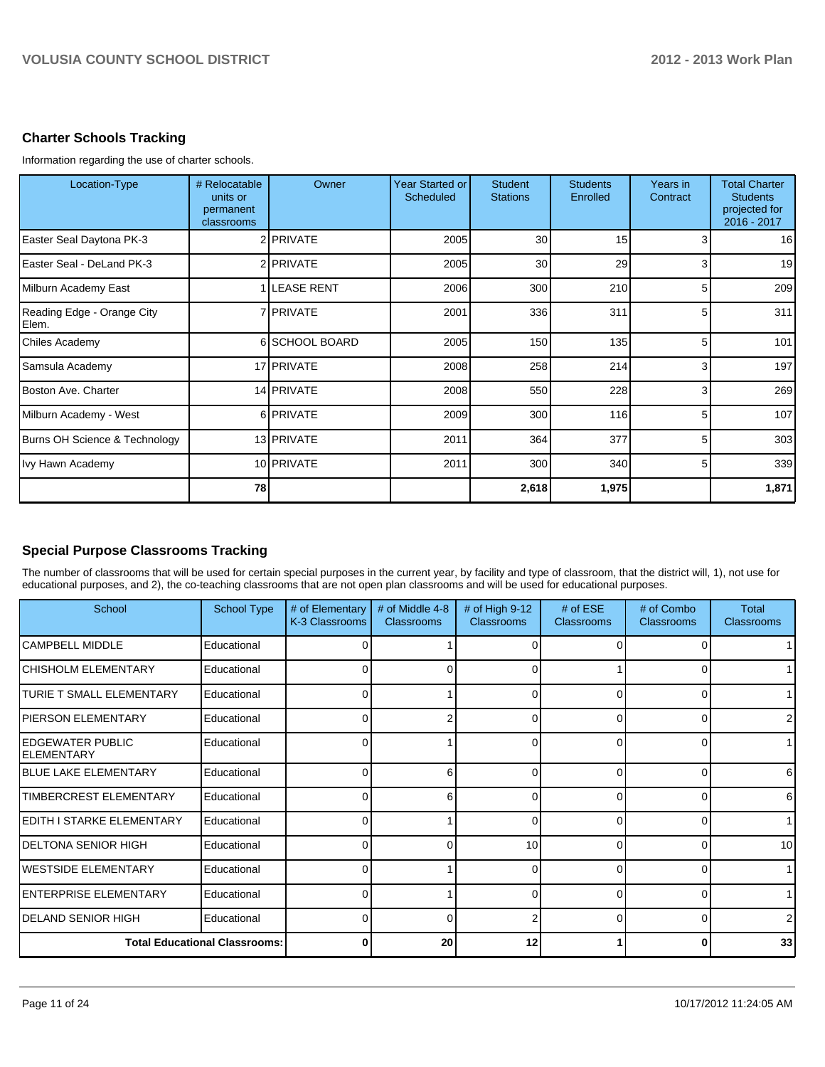## **Charter Schools Tracking**

Information regarding the use of charter schools.

| Location-Type                       | # Relocatable<br>units or<br>permanent<br>classrooms | Owner          | Year Started or<br>Scheduled | <b>Student</b><br><b>Stations</b> | <b>Students</b><br>Enrolled | Years in<br>Contract | <b>Total Charter</b><br><b>Students</b><br>projected for<br>2016 - 2017 |
|-------------------------------------|------------------------------------------------------|----------------|------------------------------|-----------------------------------|-----------------------------|----------------------|-------------------------------------------------------------------------|
| Easter Seal Daytona PK-3            |                                                      | 2 PRIVATE      | 2005                         | 30                                | 15                          | 3 <sub>l</sub>       | 16                                                                      |
| Easter Seal - DeLand PK-3           |                                                      | 2 PRIVATE      | 2005                         | 30                                | 29                          | 3                    | 19                                                                      |
| Milburn Academy East                |                                                      | 1 LEASE RENT   | 2006                         | 300                               | 210                         | 5 <sub>l</sub>       | 209                                                                     |
| Reading Edge - Orange City<br>Elem. |                                                      | 7 PRIVATE      | 2001                         | 336                               | 311                         | 5 <sub>l</sub>       | 311                                                                     |
| <b>Chiles Academy</b>               |                                                      | 6 SCHOOL BOARD | 2005                         | 150                               | 135                         | 5 <sup>1</sup>       | 101                                                                     |
| Samsula Academy                     |                                                      | 17 PRIVATE     | 2008                         | 258                               | 214                         | $\overline{3}$       | 197                                                                     |
| <b>Boston Ave. Charter</b>          |                                                      | 14 PRIVATE     | 2008                         | 550                               | 228                         | 3                    | 269                                                                     |
| Milburn Academy - West              |                                                      | 6 PRIVATE      | 2009                         | 300                               | 116                         | 5 <sup>1</sup>       | 107                                                                     |
| Burns OH Science & Technology       |                                                      | 13 PRIVATE     | 2011                         | 364                               | 377                         | 5 <sup>1</sup>       | 303                                                                     |
| Ivy Hawn Academy                    |                                                      | 10 PRIVATE     | 2011                         | 300                               | 340                         | 5 <sub>l</sub>       | 339                                                                     |
|                                     | 78                                                   |                |                              | 2,618                             | 1,975                       |                      | 1,871                                                                   |

# **Special Purpose Classrooms Tracking**

The number of classrooms that will be used for certain special purposes in the current year, by facility and type of classroom, that the district will, 1), not use for educational purposes, and 2), the co-teaching classrooms that are not open plan classrooms and will be used for educational purposes.

| School                               | <b>School Type</b> | # of Elementary<br>K-3 Classrooms | # of Middle 4-8<br><b>Classrooms</b> | # of High $9-12$<br><b>Classrooms</b> | # of $ESE$<br><b>Classrooms</b> | # of Combo<br><b>Classrooms</b> | <b>Total</b><br><b>Classrooms</b> |
|--------------------------------------|--------------------|-----------------------------------|--------------------------------------|---------------------------------------|---------------------------------|---------------------------------|-----------------------------------|
| <b>ICAMPBELL MIDDLE</b>              | Educational        | <sup>0</sup>                      |                                      |                                       | $\Omega$                        |                                 |                                   |
| <b>CHISHOLM ELEMENTARY</b>           | Educational        | ∩                                 | ∩                                    | ∩                                     |                                 | 0                               | 1                                 |
| TURIE T SMALL ELEMENTARY             | Educational        | 0                                 |                                      |                                       | $\Omega$                        |                                 |                                   |
| <b>PIERSON ELEMENTARY</b>            | Educational        |                                   |                                      | n                                     | $\Omega$                        | C                               | ا 2                               |
| IEDGEWATER PUBLIC<br>IELEMENTARY     | Educational        |                                   |                                      |                                       | $\Omega$                        |                                 |                                   |
| <b>IBLUE LAKE ELEMENTARY</b>         | Educational        | 0                                 | 6                                    | O                                     | $\Omega$                        | 0                               | 6                                 |
| <b>TIMBERCREST ELEMENTARY</b>        | Educational        |                                   | ิค                                   |                                       | 0                               |                                 | 6                                 |
| EDITH I STARKE ELEMENTARY            | Educational        |                                   |                                      | U                                     | $\Omega$                        | n                               |                                   |
| DELTONA SENIOR HIGH                  | Educational        |                                   |                                      | 10                                    | $\Omega$                        |                                 | 10 <sup>1</sup>                   |
| IWESTSIDE ELEMENTARY                 | Educational        | ∩                                 |                                      |                                       | $\Omega$                        | 0                               | 1                                 |
| <b>IENTERPRISE ELEMENTARY</b>        | Educational        | 0                                 |                                      |                                       | $\Omega$                        | 0                               | 1 <sup>1</sup>                    |
| IDELAND SENIOR HIGH                  | Educational        | n                                 | ∩                                    |                                       | $\Omega$                        | 0                               | $\overline{2}$                    |
| <b>Total Educational Classrooms:</b> |                    | U                                 | 20                                   | 12                                    |                                 | 0                               | 33                                |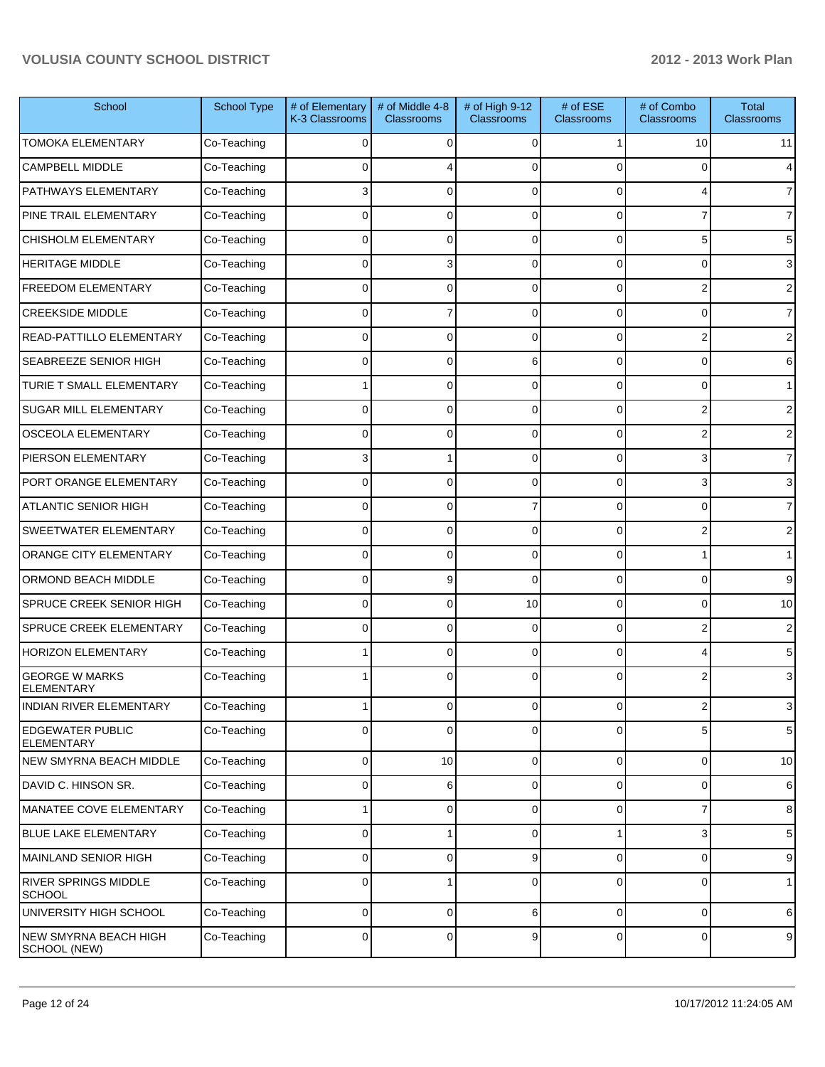| School                                       | <b>School Type</b> | # of Elementary<br>K-3 Classrooms | # of Middle 4-8<br><b>Classrooms</b> | # of High 9-12<br><b>Classrooms</b> | # of ESE<br>Classrooms | # of Combo<br><b>Classrooms</b> | <b>Total</b><br>Classrooms |
|----------------------------------------------|--------------------|-----------------------------------|--------------------------------------|-------------------------------------|------------------------|---------------------------------|----------------------------|
| <b>TOMOKA ELEMENTARY</b>                     | Co-Teaching        | $\Omega$                          | $\Omega$                             | $\Omega$                            |                        | 10                              | 11                         |
| <b>CAMPBELL MIDDLE</b>                       | Co-Teaching        | 0                                 |                                      | $\Omega$                            | U                      | 0                               | 4                          |
| PATHWAYS ELEMENTARY                          | Co-Teaching        | 3                                 | 0                                    | $\Omega$                            | $\Omega$               | 4                               | $\overline{7}$             |
| PINE TRAIL ELEMENTARY                        | Co-Teaching        | $\Omega$                          | 0                                    | $\Omega$                            | 0                      | 7                               | $\overline{7}$             |
| <b>CHISHOLM ELEMENTARY</b>                   | Co-Teaching        | $\Omega$                          | 0                                    | $\Omega$                            | 0                      | 5                               | 5                          |
| <b>HERITAGE MIDDLE</b>                       | Co-Teaching        | $\Omega$                          | 3                                    | $\Omega$                            | 0                      | $\Omega$                        | 3                          |
| FREEDOM ELEMENTARY                           | Co-Teaching        | $\Omega$                          | 0                                    | $\Omega$                            | 0                      | 2                               | 2                          |
| <b>CREEKSIDE MIDDLE</b>                      | Co-Teaching        | 0                                 |                                      | $\Omega$                            | 0                      | 0                               | $\overline{7}$             |
| READ-PATTILLO ELEMENTARY                     | Co-Teaching        | 0                                 | 0                                    | $\Omega$                            | 0                      | 2                               | 2                          |
| SEABREEZE SENIOR HIGH                        | Co-Teaching        | $\Omega$                          | 0                                    | 6                                   | 0                      | $\Omega$                        | 6                          |
| TURIE T SMALL ELEMENTARY                     | Co-Teaching        |                                   | $\Omega$                             | $\Omega$                            | 0                      | 0                               | 1                          |
| SUGAR MILL ELEMENTARY                        | Co-Teaching        | 0                                 | $\Omega$                             | $\Omega$                            | 0                      | 2                               | 2                          |
| <b>OSCEOLA ELEMENTARY</b>                    | Co-Teaching        | 0                                 | 0                                    | $\Omega$                            | 0                      | 2                               | 2                          |
| PIERSON ELEMENTARY                           | Co-Teaching        | 3                                 |                                      | $\Omega$                            | 0                      | 3                               | $\overline{7}$             |
| PORT ORANGE ELEMENTARY                       | Co-Teaching        | $\Omega$                          | $\Omega$                             | $\Omega$                            | 0                      | 3                               | 3                          |
| <b>ATLANTIC SENIOR HIGH</b>                  | Co-Teaching        | 0                                 | $\Omega$                             |                                     | 0                      | 0                               | $\overline{7}$             |
| SWEETWATER ELEMENTARY                        | Co-Teaching        | $\Omega$                          | $\Omega$                             | $\Omega$                            | 0                      | 2                               | 2                          |
| ORANGE CITY ELEMENTARY                       | Co-Teaching        | $\Omega$                          | 0                                    | $\Omega$                            | 0                      |                                 | 1                          |
| ORMOND BEACH MIDDLE                          | Co-Teaching        | $\Omega$                          | 9                                    | $\Omega$                            | 0                      | $\Omega$                        | 9                          |
| SPRUCE CREEK SENIOR HIGH                     | Co-Teaching        | 0                                 | $\Omega$                             | 10                                  | 0                      | $\overline{0}$                  | 10                         |
| SPRUCE CREEK ELEMENTARY                      | Co-Teaching        | $\Omega$                          | $\Omega$                             | $\Omega$                            | $\Omega$               | 2                               | 2                          |
| <b>HORIZON ELEMENTARY</b>                    | Co-Teaching        |                                   | 0                                    | $\Omega$                            | $\Omega$               | 4                               | 5                          |
| <b>GEORGE W MARKS</b><br><b>ELEMENTARY</b>   | Co-Teaching        |                                   | $\Omega$                             | $\Omega$                            | $\Omega$               | 2                               | 3                          |
| <b>INDIAN RIVER ELEMENTARY</b>               | Co-Teaching        | 1                                 | $\overline{0}$                       | $\overline{0}$                      | $\overline{0}$         | $\mathbf{2}$                    | 3                          |
| <b>EDGEWATER PUBLIC</b><br><b>ELEMENTARY</b> | Co-Teaching        | 0                                 | $\Omega$                             | $\Omega$                            | 0                      | 5                               | 5                          |
| NEW SMYRNA BEACH MIDDLE                      | Co-Teaching        | 0                                 | 10                                   | $\Omega$                            | $\overline{0}$         | $\overline{0}$                  | 10                         |
| DAVID C. HINSON SR.                          | Co-Teaching        | 0                                 | 6                                    | $\Omega$                            | $\overline{0}$         | 0                               | $6\phantom{1}$             |
| MANATEE COVE ELEMENTARY                      | Co-Teaching        |                                   | $\mathbf{0}$                         | $\Omega$                            | 0                      | $\overline{7}$                  | 8                          |
| <b>BLUE LAKE ELEMENTARY</b>                  | Co-Teaching        | 0                                 |                                      | $\Omega$                            |                        | 3                               | 5                          |
| MAINLAND SENIOR HIGH                         | Co-Teaching        | 0                                 | 0                                    | 9                                   | $\mathbf 0$            | $\overline{0}$                  | 9                          |
| RIVER SPRINGS MIDDLE<br><b>SCHOOL</b>        | Co-Teaching        | 0                                 |                                      | $\Omega$                            | $\overline{0}$         | $\mathbf 0$                     | $\mathbf{1}$               |
| UNIVERSITY HIGH SCHOOL                       | Co-Teaching        | 0                                 | 0                                    | 6                                   | $\mathbf 0$            | $\mathbf 0$                     | 6                          |
| NEW SMYRNA BEACH HIGH<br>SCHOOL (NEW)        | Co-Teaching        | 0                                 | 0                                    | 9                                   | $\overline{0}$         | 0                               | $9\,$                      |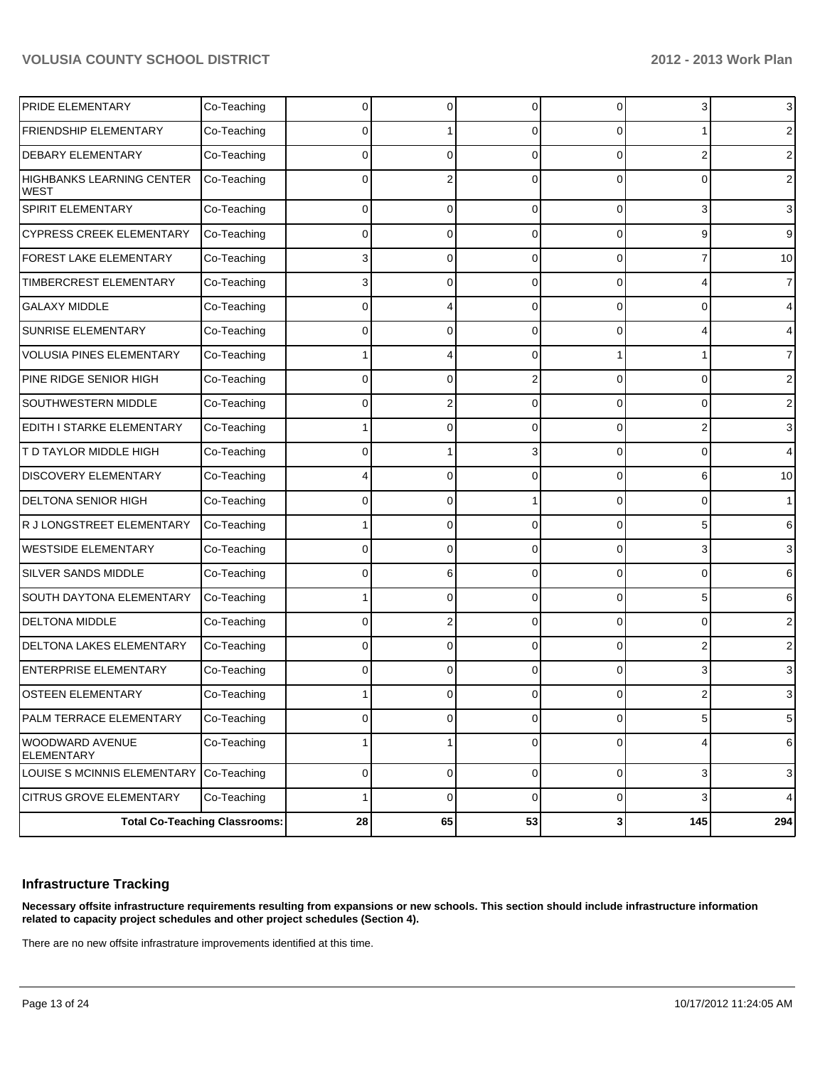|                                         | <b>Total Co-Teaching Classrooms:</b> | 28 | 65       | 53          | $\mathbf{3}$   | 145            | 294            |
|-----------------------------------------|--------------------------------------|----|----------|-------------|----------------|----------------|----------------|
| CITRUS GROVE ELEMENTARY                 | Co-Teaching                          | 1  | 0        | $\mathbf 0$ | 0              | 3              | 4              |
| LOUISE S MCINNIS ELEMENTARY             | Co-Teaching                          | 0  | 0        | $\mathbf 0$ | $\overline{0}$ | $\overline{3}$ | $\mathbf{3}$   |
| WOODWARD AVENUE<br><b>ELEMENTARY</b>    | Co-Teaching                          |    | 1        | $\mathbf 0$ | 0              | 4              | 6              |
| PALM TERRACE ELEMENTARY                 | Co-Teaching                          | 0  | 0        | $\mathbf 0$ | 0              | 5              | $\mathbf 5$    |
| <b>OSTEEN ELEMENTARY</b>                | Co-Teaching                          |    | o        | 0           | 0              |                | 3              |
| <b>ENTERPRISE ELEMENTARY</b>            | Co-Teaching                          | 0  | 0        | $\Omega$    | 0              | 3              | 3              |
| DELTONA LAKES ELEMENTARY                | Co-Teaching                          | 0  | 0        | $\Omega$    | 0              |                | $\overline{2}$ |
| <b>DELTONA MIDDLE</b>                   | Co-Teaching                          | 0  |          | 0           | 0              | 0              | 2              |
| <b>SOUTH DAYTONA ELEMENTARY</b>         | Co-Teaching                          |    | 0        | 0           | 0              | 5              | 6              |
| SILVER SANDS MIDDLE                     | Co-Teaching                          | 0  | 6        | 0           | 0              | 0              | 6              |
| <b>WESTSIDE ELEMENTARY</b>              | Co-Teaching                          | 0  | 0        | 0           | 0              | 3              | 3              |
| R J LONGSTREET ELEMENTARY               | Co-Teaching                          |    | 0        | 0           | 0              | 5              | 6              |
| <b>DELTONA SENIOR HIGH</b>              | Co-Teaching                          | 0  | 0        |             | 0              | 0              | $\mathbf{1}$   |
| <b>DISCOVERY ELEMENTARY</b>             | Co-Teaching                          |    | 0        | 0           | 0              | 6              | 10             |
| T D TAYLOR MIDDLE HIGH                  | Co-Teaching                          | 0  |          | 3           | 0              | 0              |                |
| EDITH I STARKE ELEMENTARY               | Co-Teaching                          |    | 0        | 0           | 0              |                | 3              |
| <b>SOUTHWESTERN MIDDLE</b>              | Co-Teaching                          | 0  |          | 0           | 0              | 0              | 2              |
| PINE RIDGE SENIOR HIGH                  | Co-Teaching                          | 0  | 0        |             | 0              | 0              | $\overline{c}$ |
| <b>VOLUSIA PINES ELEMENTARY</b>         | Co-Teaching                          |    |          | $\Omega$    |                |                | 7              |
| SUNRISE ELEMENTARY                      | Co-Teaching                          | 0  | $\Omega$ | 0           | 0              |                | 4              |
| <b>GALAXY MIDDLE</b>                    | Co-Teaching                          | 0  |          | 0           | 0              | 0              | 4              |
| TIMBERCREST ELEMENTARY                  | Co-Teaching                          | 3  | 0        | 0           | 0              |                | $\overline{7}$ |
| <b>FOREST LAKE ELEMENTARY</b>           | Co-Teaching                          | 3  | 0        | 0           | 0              |                | 10             |
| <b>CYPRESS CREEK ELEMENTARY</b>         | Co-Teaching                          | 0  | 0        | 0           | 0              | 9              | 9              |
| <b>WEST</b><br><b>SPIRIT ELEMENTARY</b> | Co-Teaching                          | 0  | 0        | 0           | 0              | 3              | 3              |
| <b>HIGHBANKS LEARNING CENTER</b>        | Co-Teaching                          | 0  |          |             | 0              | 0              | 2              |
| <b>DEBARY ELEMENTARY</b>                | Co-Teaching                          | 0  | 0        | $\Omega$    | $\Omega$       | 2              | 2              |
| FRIENDSHIP ELEMENTARY                   | Co-Teaching                          | 0  |          | 0           | 0              |                | 2              |
| PRIDE ELEMENTARY                        | Co-Teaching                          | 0  | 0        | $\Omega$    | 0              | 3              | 3              |

## **Infrastructure Tracking**

**Necessary offsite infrastructure requirements resulting from expansions or new schools. This section should include infrastructure information related to capacity project schedules and other project schedules (Section 4).**

There are no new offsite infrastrature improvements identified at this time.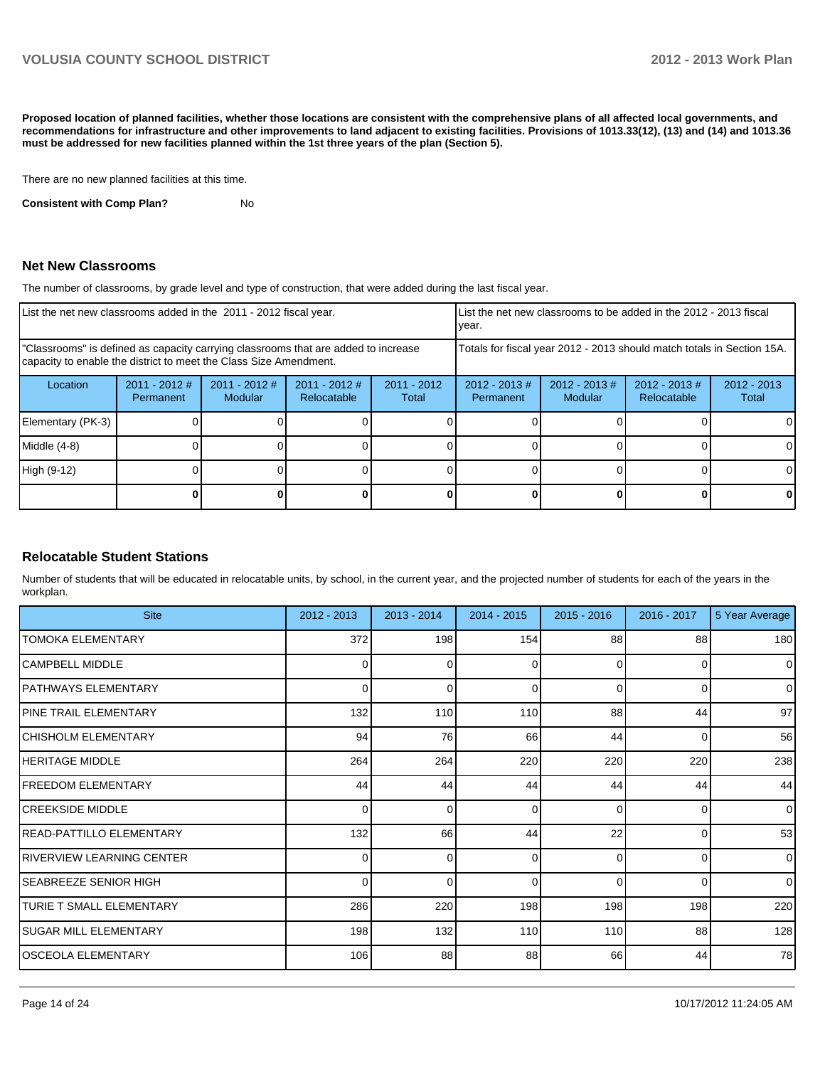**Proposed location of planned facilities, whether those locations are consistent with the comprehensive plans of all affected local governments, and recommendations for infrastructure and other improvements to land adjacent to existing facilities. Provisions of 1013.33(12), (13) and (14) and 1013.36 must be addressed for new facilities planned within the 1st three years of the plan (Section 5).**

There are no new planned facilities at this time.

**Consistent with Comp Plan?** No

#### **Net New Classrooms**

The number of classrooms, by grade level and type of construction, that were added during the last fiscal year.

|                                                                                                                                                         | List the net new classrooms added in the 2011 - 2012 fiscal year. |                                 |                                |                        | List the net new classrooms to be added in the 2012 - 2013 fiscal<br>Ivear. |                            |                                 |                        |
|---------------------------------------------------------------------------------------------------------------------------------------------------------|-------------------------------------------------------------------|---------------------------------|--------------------------------|------------------------|-----------------------------------------------------------------------------|----------------------------|---------------------------------|------------------------|
| "Classrooms" is defined as capacity carrying classrooms that are added to increase<br>capacity to enable the district to meet the Class Size Amendment. |                                                                   |                                 |                                |                        | Totals for fiscal year 2012 - 2013 should match totals in Section 15A.      |                            |                                 |                        |
| Location                                                                                                                                                | $2011 - 2012$ #<br>Permanent                                      | 2011 - 2012 #<br><b>Modular</b> | $2011 - 2012$ #<br>Relocatable | $2011 - 2012$<br>Total | $2012 - 2013 \#$<br>Permanent                                               | $2012 - 2013$ #<br>Modular | $2012 - 2013 \#$<br>Relocatable | $2012 - 2013$<br>Total |
| Elementary (PK-3)                                                                                                                                       |                                                                   |                                 |                                |                        |                                                                             |                            |                                 |                        |
| Middle (4-8)                                                                                                                                            |                                                                   |                                 |                                |                        |                                                                             |                            |                                 | 0                      |
| High (9-12)                                                                                                                                             |                                                                   |                                 |                                |                        |                                                                             |                            |                                 | 0                      |
|                                                                                                                                                         |                                                                   |                                 |                                |                        |                                                                             |                            |                                 | 0                      |

#### **Relocatable Student Stations**

Number of students that will be educated in relocatable units, by school, in the current year, and the projected number of students for each of the years in the workplan.

| <b>Site</b>                     | 2012 - 2013 | $2013 - 2014$ | $2014 - 2015$ | $2015 - 2016$ | 2016 - 2017    | 5 Year Average |
|---------------------------------|-------------|---------------|---------------|---------------|----------------|----------------|
| TOMOKA ELEMENTARY               | 372         | 198           | 154           | 88            | 88             | 180            |
| <b>CAMPBELL MIDDLE</b>          | 0           | 0             | 0             | $\Omega$      | $\Omega$       | $\overline{0}$ |
| PATHWAYS ELEMENTARY             | 0           | ŋ             | $\Omega$      | $\Omega$      | $\Omega$       | $\Omega$       |
| <b>PINE TRAIL ELEMENTARY</b>    | 132         | 110           | 110           | 88            | 44             | 97             |
| <b>CHISHOLM ELEMENTARY</b>      | 94          | 76            | 66            | 44            | $\Omega$       | 56             |
| <b>HERITAGE MIDDLE</b>          | 264         | 264           | 220           | 220           | 220            | 238            |
| <b>FREEDOM ELEMENTARY</b>       | 44          | 44            | 44            | 44            | 44             | 44             |
| <b>ICREEKSIDE MIDDLE</b>        | $\Omega$    | $\Omega$      | 0             | $\Omega$      | $\overline{0}$ | $\overline{0}$ |
| IREAD-PATTILLO ELEMENTARY       | 132         | 66            | 44            | 22            | $\overline{0}$ | 53             |
| RIVERVIEW LEARNING CENTER       | 0           | 0             | 0             | $\Omega$      | $\Omega$       | $\overline{0}$ |
| <b>SEABREEZE SENIOR HIGH</b>    | $\Omega$    | 0             | $\Omega$      | $\Omega$      | $\Omega$       | $\overline{0}$ |
| <b>TURIE T SMALL ELEMENTARY</b> | 286         | 220           | 198           | 198           | 198            | 220            |
| <b>SUGAR MILL ELEMENTARY</b>    | 198         | 132           | 110           | 110           | 88             | 128            |
| IOSCEOLA ELEMENTARY             | 106         | 88            | 88            | 66            | 44             | 78             |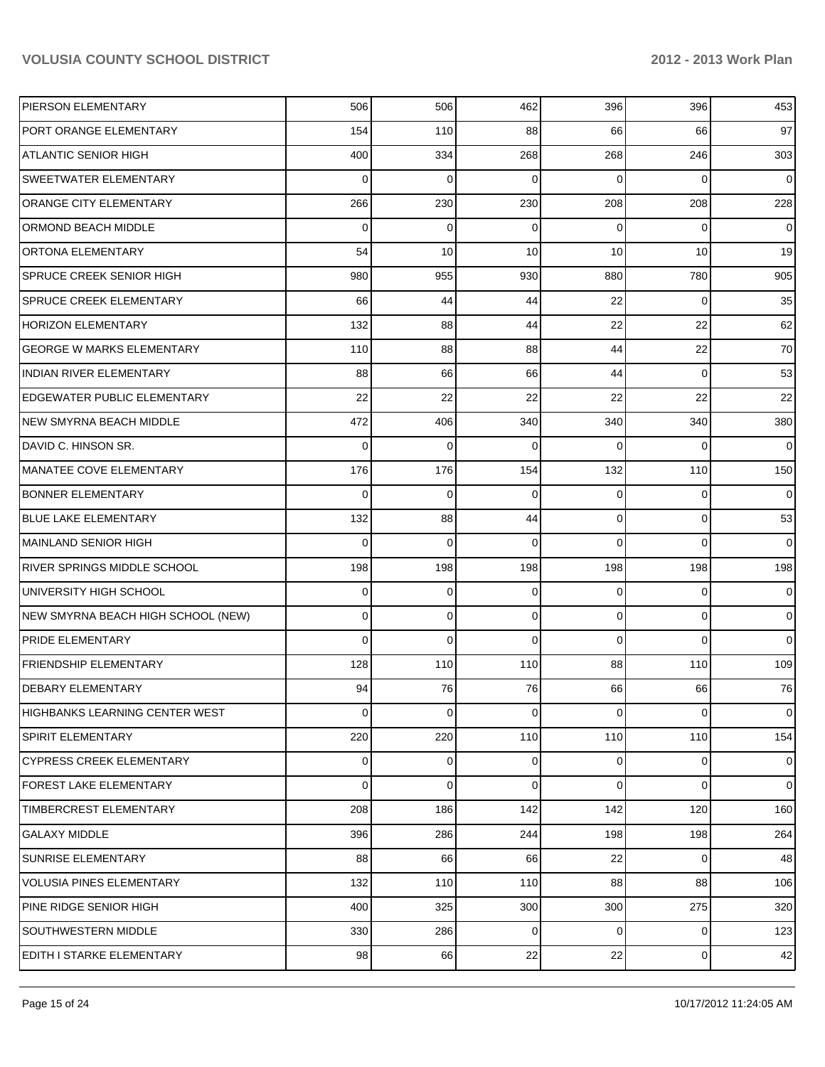| PIERSON ELEMENTARY                 | 506            | 506 | 462 | 396            | 396         | 453            |
|------------------------------------|----------------|-----|-----|----------------|-------------|----------------|
| PORT ORANGE ELEMENTARY             | 154            | 110 | 88  | 66             | 66          | 97             |
| <b>ATLANTIC SENIOR HIGH</b>        | 400            | 334 | 268 | 268            | 246         | 303            |
| SWEETWATER ELEMENTARY              | $\Omega$       | 0   | 0   | $\Omega$       | 0           | $\overline{0}$ |
| ORANGE CITY ELEMENTARY             | 266            | 230 | 230 | 208            | 208         | 228            |
| ORMOND BEACH MIDDLE                | 0              | 0   | 0   | $\Omega$       | 0           | $\overline{0}$ |
| <b>ORTONA ELEMENTARY</b>           | 54             | 10  | 10  | 10             | 10          | 19             |
| SPRUCE CREEK SENIOR HIGH           | 980            | 955 | 930 | 880            | 780         | 905            |
| <b>SPRUCE CREEK ELEMENTARY</b>     | 66             | 44  | 44  | 22             | 0           | 35             |
| <b>HORIZON ELEMENTARY</b>          | 132            | 88  | 44  | 22             | 22          | 62             |
| <b>GEORGE W MARKS ELEMENTARY</b>   | 110            | 88  | 88  | 44             | 22          | 70             |
| <b>INDIAN RIVER ELEMENTARY</b>     | 88             | 66  | 66  | 44             | 0           | 53             |
| <b>EDGEWATER PUBLIC ELEMENTARY</b> | 22             | 22  | 22  | 22             | 22          | 22             |
| <b>NEW SMYRNA BEACH MIDDLE</b>     | 472            | 406 | 340 | 340            | 340         | 380            |
| DAVID C. HINSON SR.                | $\Omega$       | 0   | 0   | $\Omega$       | 0           | $\mathbf 0$    |
| MANATEE COVE ELEMENTARY            | 176            | 176 | 154 | 132            | 110         | 150            |
| <b>BONNER ELEMENTARY</b>           | $\Omega$       | 0   | 0   | $\Omega$       | 0           | 0              |
| <b>BLUE LAKE ELEMENTARY</b>        | 132            | 88  | 44  | 0              | 0           | 53             |
| MAINLAND SENIOR HIGH               | 0              | 0   | 0   | $\Omega$       | 0           | $\mathbf 0$    |
| <b>RIVER SPRINGS MIDDLE SCHOOL</b> | 198            | 198 | 198 | 198            | 198         | 198            |
| UNIVERSITY HIGH SCHOOL             | 0              | 0   | 0   | $\Omega$       | 0           | 0              |
| NEW SMYRNA BEACH HIGH SCHOOL (NEW) | 0              | 0   | 0   | 0              | $\mathbf 0$ | $\overline{0}$ |
| <b>PRIDE ELEMENTARY</b>            | $\Omega$       | 0   | 0   | $\Omega$       | 0           | $\mathbf 0$    |
| <b>FRIENDSHIP ELEMENTARY</b>       | 128            | 110 | 110 | 88             | 110         | 109            |
| <b>DEBARY ELEMENTARY</b>           | 94             | 76  | 76  | 66             | 66          | 76             |
| HIGHBANKS LEARNING CENTER WEST     | $\overline{0}$ | 0   | 0   | $\overline{0}$ | 0           | $\overline{0}$ |
| SPIRIT ELEMENTARY                  | 220            | 220 | 110 | 110            | 110         | 154            |
| <b>CYPRESS CREEK ELEMENTARY</b>    | 0              | 0   | 0   | 0              | 0           | $\overline{0}$ |
| <b>FOREST LAKE ELEMENTARY</b>      | 0              | 0   | 0   | $\overline{0}$ | $\mathbf 0$ | $\overline{0}$ |
| TIMBERCREST ELEMENTARY             | 208            | 186 | 142 | 142            | 120         | 160            |
| <b>GALAXY MIDDLE</b>               | 396            | 286 | 244 | 198            | 198         | 264            |
| SUNRISE ELEMENTARY                 | 88             | 66  | 66  | 22             | 0           | 48             |
| <b>VOLUSIA PINES ELEMENTARY</b>    | 132            | 110 | 110 | 88             | 88          | 106            |
| PINE RIDGE SENIOR HIGH             | 400            | 325 | 300 | 300            | 275         | 320            |
| SOUTHWESTERN MIDDLE                | 330            | 286 | 0   | $\overline{0}$ | 0           | 123            |
| EDITH I STARKE ELEMENTARY          | 98             | 66  | 22  | 22             | 0           | 42             |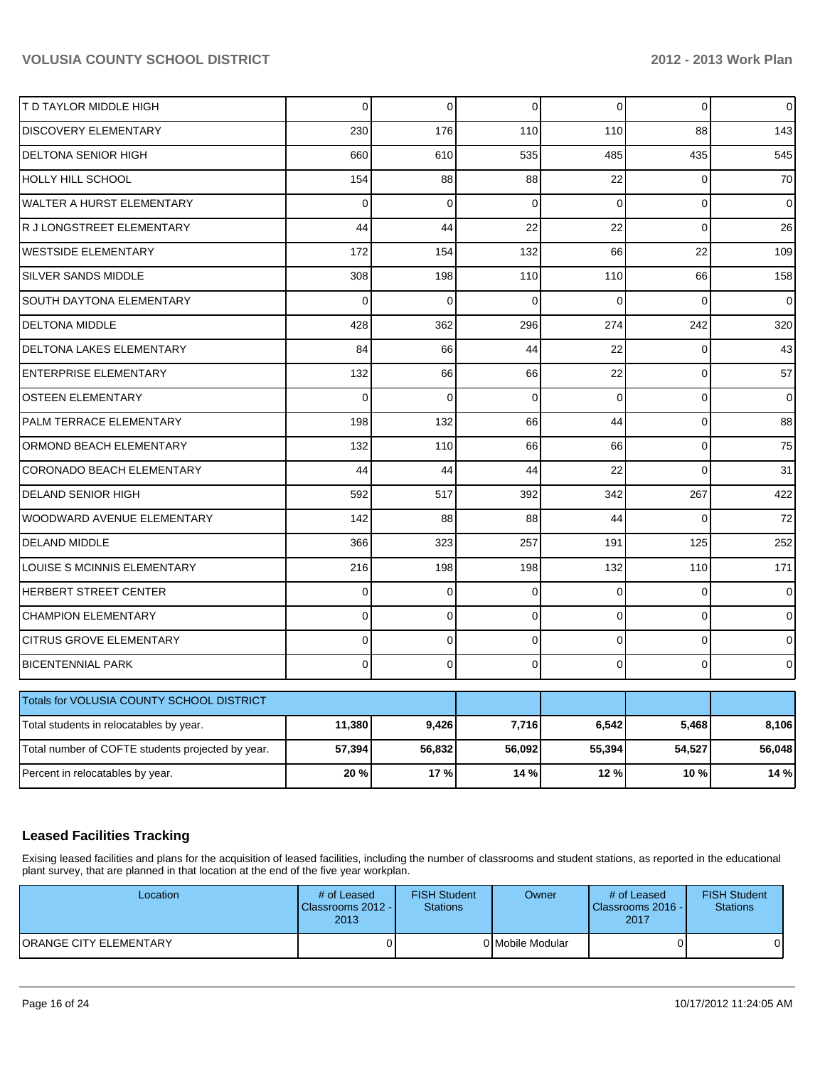| T D TAYLOR MIDDLE HIGH                            | 0        | $\mathbf 0$ | 0           | $\overline{0}$ | $\mathbf 0$ | $\mathsf{O}\xspace$ |
|---------------------------------------------------|----------|-------------|-------------|----------------|-------------|---------------------|
| DISCOVERY ELEMENTARY                              | 230      | 176         | 110         | 110            | 88          | 143                 |
| <b>DELTONA SENIOR HIGH</b>                        | 660      | 610         | 535         | 485            | 435         | 545                 |
| HOLLY HILL SCHOOL                                 | 154      | 88          | 88          | 22             | $\mathbf 0$ | 70                  |
| WALTER A HURST ELEMENTARY                         | 0        | $\mathbf 0$ | $\Omega$    | $\Omega$       | $\mathbf 0$ | $\mathbf 0$         |
| R J LONGSTREET ELEMENTARY                         | 44       | 44          | 22          | 22             | $\mathbf 0$ | 26                  |
| <b>WESTSIDE ELEMENTARY</b>                        | 172      | 154         | 132         | 66             | 22          | 109                 |
| SILVER SANDS MIDDLE                               | 308      | 198         | 110         | 110            | 66          | 158                 |
| SOUTH DAYTONA ELEMENTARY                          | $\Omega$ | $\mathbf 0$ | $\Omega$    | $\Omega$       | $\Omega$    | 0                   |
| <b>DELTONA MIDDLE</b>                             | 428      | 362         | 296         | 274            | 242         | 320                 |
| DELTONA LAKES ELEMENTARY                          | 84       | 66          | 44          | 22             | $\mathbf 0$ | 43                  |
| <b>ENTERPRISE ELEMENTARY</b>                      | 132      | 66          | 66          | 22             | $\mathbf 0$ | 57                  |
| <b>OSTEEN ELEMENTARY</b>                          | 0        | $\mathbf 0$ | 0           | 0              | $\mathbf 0$ | 0                   |
| PALM TERRACE ELEMENTARY                           | 198      | 132         | 66          | 44             | $\mathbf 0$ | 88                  |
| ORMOND BEACH ELEMENTARY                           | 132      | 110         | 66          | 66             | $\mathbf 0$ | 75                  |
| CORONADO BEACH ELEMENTARY                         | 44       | 44          | 44          | 22             | $\mathbf 0$ | 31                  |
| <b>DELAND SENIOR HIGH</b>                         | 592      | 517         | 392         | 342            | 267         | 422                 |
| WOODWARD AVENUE ELEMENTARY                        | 142      | 88          | 88          | 44             | $\Omega$    | 72                  |
| DELAND MIDDLE                                     | 366      | 323         | 257         | 191            | 125         | 252                 |
| LOUISE S MCINNIS ELEMENTARY                       | 216      | 198         | 198         | 132            | 110         | 171                 |
| HERBERT STREET CENTER                             | 0        | 0           | 0           | $\Omega$       | $\Omega$    | 0                   |
| <b>CHAMPION ELEMENTARY</b>                        | $\Omega$ | $\Omega$    | $\Omega$    | $\Omega$       | $\Omega$    | $\overline{0}$      |
| <b>CITRUS GROVE ELEMENTARY</b>                    | $\Omega$ | $\mathbf 0$ | $\mathbf 0$ | $\Omega$       | $\Omega$    | 0                   |
| <b>BICENTENNIAL PARK</b>                          | $\Omega$ | $\mathbf 0$ | $\Omega$    | $\Omega$       | $\mathbf 0$ | $\mathbf 0$         |
| Totals for VOLUSIA COUNTY SCHOOL DISTRICT         |          |             |             |                |             |                     |
| Total students in relocatables by year.           | 11,380   | 9,426       | 7,716       | 6,542          | 5,468       | 8,106               |
| Total number of COFTE students projected by year. | 57,394   | 56,832      | 56,092      | 55,394         | 54,527      | 56,048              |
| Percent in relocatables by year.                  | 20%      | 17%         | 14 %        | 12%            | 10%         | 14 %                |

# **Leased Facilities Tracking**

Exising leased facilities and plans for the acquisition of leased facilities, including the number of classrooms and student stations, as reported in the educational plant survey, that are planned in that location at the end of the five year workplan.

| Location                      | # of Leased<br>Classrooms 2012 -<br>2013 | <b>FISH Student</b><br><b>Stations</b> | Owner            | # of Leased<br>Classrooms 2016 -<br>2017 | <b>FISH Student</b><br>Stations |
|-------------------------------|------------------------------------------|----------------------------------------|------------------|------------------------------------------|---------------------------------|
| <b>ORANGE CITY ELEMENTARY</b> |                                          |                                        | 0 Mobile Modular |                                          |                                 |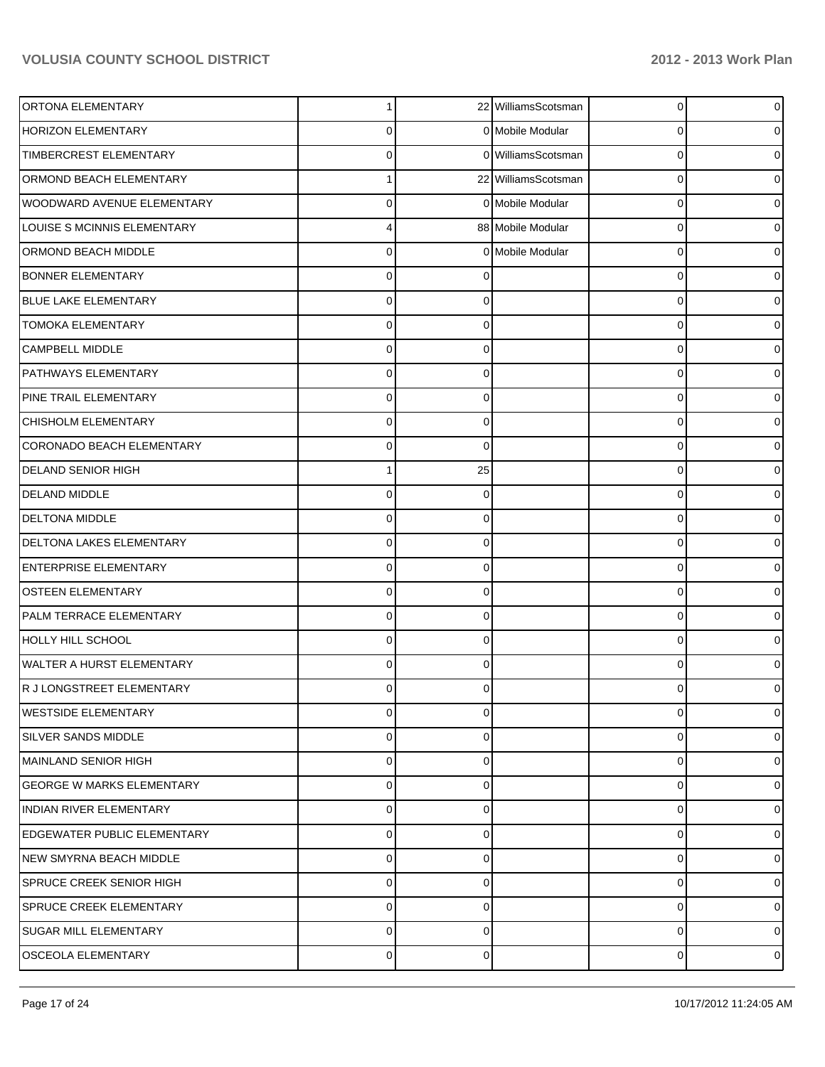| ORTONA ELEMENTARY                  | 1              |             | 22 WilliamsScotsman | $\overline{0}$ | $\overline{0}$ |
|------------------------------------|----------------|-------------|---------------------|----------------|----------------|
| <b>HORIZON ELEMENTARY</b>          | 0              |             | 0 Mobile Modular    | 0              | 01             |
| TIMBERCREST ELEMENTARY             | 0              |             | 0 WilliamsScotsman  | 0              | 0              |
| ORMOND BEACH ELEMENTARY            |                |             | 22 WilliamsScotsman | 0              | 01             |
| WOODWARD AVENUE ELEMENTARY         | $\Omega$       |             | 0 Mobile Modular    | 0              | 0              |
| LOUISE S MCINNIS ELEMENTARY        | 4              |             | 88 Mobile Modular   | 0              | 0              |
| ORMOND BEACH MIDDLE                | $\Omega$       |             | 0 Mobile Modular    | 0              | 0              |
| <b>BONNER ELEMENTARY</b>           | $\Omega$       |             |                     | 0              | 0              |
| <b>BLUE LAKE ELEMENTARY</b>        | $\Omega$       |             |                     | 0              | 0              |
| <b>TOMOKA ELEMENTARY</b>           | $\Omega$       | $\Omega$    |                     | 0              | 0              |
| <b>CAMPBELL MIDDLE</b>             | $\Omega$       | $\Omega$    |                     | 0              | 0              |
| <b>PATHWAYS ELEMENTARY</b>         | $\Omega$       | $\Omega$    |                     | 0              | 0              |
| PINE TRAIL ELEMENTARY              | $\Omega$       | $\Omega$    |                     | 0              | 0              |
| CHISHOLM ELEMENTARY                | $\Omega$       | $\Omega$    |                     | 0              | 0              |
| CORONADO BEACH ELEMENTARY          | 0              | $\Omega$    |                     | 0              | 0              |
| <b>DELAND SENIOR HIGH</b>          |                | 25          |                     | 0              | 0              |
| <b>DELAND MIDDLE</b>               | $\Omega$       | ∩           |                     | 0              | 0              |
| <b>DELTONA MIDDLE</b>              | $\Omega$       | $\Omega$    |                     | 0              | 0              |
| DELTONA LAKES ELEMENTARY           | $\Omega$       | 0           |                     | 0              | 0              |
| <b>ENTERPRISE ELEMENTARY</b>       | $\Omega$       | $\Omega$    |                     | 0              | 0              |
| OSTEEN ELEMENTARY                  | 0              | $\Omega$    |                     | 0              | 0              |
| PALM TERRACE ELEMENTARY            | $\Omega$       | $\Omega$    |                     | 0              | 0              |
| HOLLY HILL SCHOOL                  | $\Omega$       | 0           |                     | 0              | 0              |
| <b>WALTER A HURST ELEMENTARY</b>   | $\Omega$       | $\Omega$    |                     | $\Omega$       | 0              |
| R J LONGSTREET ELEMENTARY          | 0              |             |                     | 0              | 0              |
| <b>WESTSIDE ELEMENTARY</b>         | $\mathbf 0$    | $\mathbf 0$ |                     | 0              | $\overline{0}$ |
| <b>SILVER SANDS MIDDLE</b>         | 0              | $\Omega$    |                     | 0              | $\overline{0}$ |
| MAINLAND SENIOR HIGH               | 0              | $\Omega$    |                     | 0              | $\overline{0}$ |
| <b>GEORGE W MARKS ELEMENTARY</b>   | 0              | $\Omega$    |                     | 0              | $\overline{0}$ |
| <b>INDIAN RIVER ELEMENTARY</b>     | 0              | $\Omega$    |                     | 0              | $\overline{0}$ |
| <b>EDGEWATER PUBLIC ELEMENTARY</b> | 0              | $\Omega$    |                     | 0              | $\overline{0}$ |
| NEW SMYRNA BEACH MIDDLE            | 0              | $\Omega$    |                     | 0              | $\overline{0}$ |
| <b>SPRUCE CREEK SENIOR HIGH</b>    | 0              | $\Omega$    |                     | 0              | $\overline{0}$ |
| <b>SPRUCE CREEK ELEMENTARY</b>     | 0              | 0           |                     | 0              | $\overline{0}$ |
| <b>SUGAR MILL ELEMENTARY</b>       | 0              | $\Omega$    |                     | 0              | $\overline{0}$ |
| <b>OSCEOLA ELEMENTARY</b>          | $\overline{0}$ | $\mathbf 0$ |                     | 0              | $\circ$        |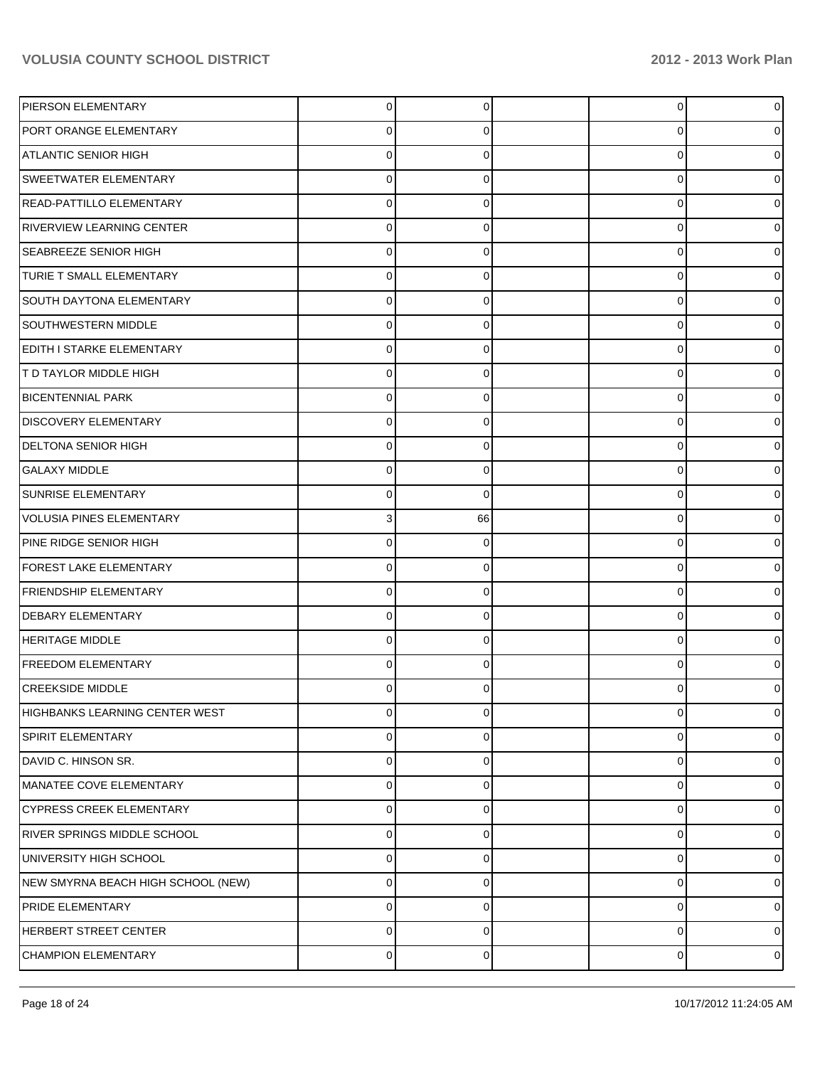| PIERSON ELEMENTARY                 | $\Omega$       | 0        | $\overline{0}$ |   |
|------------------------------------|----------------|----------|----------------|---|
| <b>PORT ORANGE ELEMENTARY</b>      | 0              |          | 0              |   |
| ATLANTIC SENIOR HIGH               | $\Omega$       | 0        | $\mathbf 0$    |   |
| <b>SWEETWATER ELEMENTARY</b>       | $\Omega$       | 0        | 0              |   |
| READ-PATTILLO ELEMENTARY           | $\Omega$       | ŋ        | 0              |   |
| <b>RIVERVIEW LEARNING CENTER</b>   | $\Omega$       | 0        | 0              |   |
| <b>SEABREEZE SENIOR HIGH</b>       | $\Omega$       | 0        | $\mathbf 0$    |   |
| TURIE T SMALL ELEMENTARY           | $\Omega$       | 0        | $\mathbf 0$    |   |
| <b>SOUTH DAYTONA ELEMENTARY</b>    | $\Omega$       | ŋ        | $\mathbf 0$    |   |
| <b>SOUTHWESTERN MIDDLE</b>         | $\Omega$       | 0        | 0              |   |
| EDITH I STARKE ELEMENTARY          | $\Omega$       |          | 0              |   |
| <b>T D TAYLOR MIDDLE HIGH</b>      | $\Omega$       | 0        | $\mathbf 0$    |   |
| <b>BICENTENNIAL PARK</b>           | $\Omega$       | 0        | $\mathbf 0$    |   |
| <b>DISCOVERY ELEMENTARY</b>        | $\Omega$       | 0        | $\mathbf 0$    |   |
| <b>DELTONA SENIOR HIGH</b>         | $\Omega$       |          | 0              |   |
| <b>GALAXY MIDDLE</b>               | $\Omega$       | 0        | 0              |   |
| SUNRISE ELEMENTARY                 | $\Omega$       | 0        | $\mathbf 0$    |   |
| <b>VOLUSIA PINES ELEMENTARY</b>    | 3 <sup>1</sup> | 66       | $\mathbf 0$    |   |
| PINE RIDGE SENIOR HIGH             | $\Omega$       |          | $\mathbf 0$    |   |
| <b>FOREST LAKE ELEMENTARY</b>      | $\Omega$       | 0        | 0              |   |
| <b>FRIENDSHIP ELEMENTARY</b>       | $\Omega$       |          | 0              |   |
| DEBARY ELEMENTARY                  | $\Omega$       | 0        | $\mathbf 0$    |   |
| <b>HERITAGE MIDDLE</b>             | $\Omega$       | ŋ        | $\overline{0}$ |   |
| <b>FREEDOM ELEMENTARY</b>          | $\Omega$       | 0        | 0              |   |
| <b>CREEKSIDE MIDDLE</b>            |                |          | O              |   |
| HIGHBANKS LEARNING CENTER WEST     | 0              | $\Omega$ | $\overline{0}$ | 0 |
| SPIRIT ELEMENTARY                  | 0              | 0        | 0              | 0 |
| DAVID C. HINSON SR.                | 0              | 0        | 0              | 0 |
| MANATEE COVE ELEMENTARY            | $\Omega$       | 0        | 0              | 0 |
| <b>CYPRESS CREEK ELEMENTARY</b>    | 0              | 0        | 0              | 0 |
| <b>RIVER SPRINGS MIDDLE SCHOOL</b> | 0              | 0        | 0              | 0 |
| UNIVERSITY HIGH SCHOOL             | 0              | 0        | 0              | 0 |
| NEW SMYRNA BEACH HIGH SCHOOL (NEW) | 0              | 0        | 0              | 0 |
| PRIDE ELEMENTARY                   | 0              | 0        | 0              | 0 |
| <b>HERBERT STREET CENTER</b>       | 0              | 0        | 0              | 0 |
| <b>CHAMPION ELEMENTARY</b>         | 0              | 0        | 0              | 0 |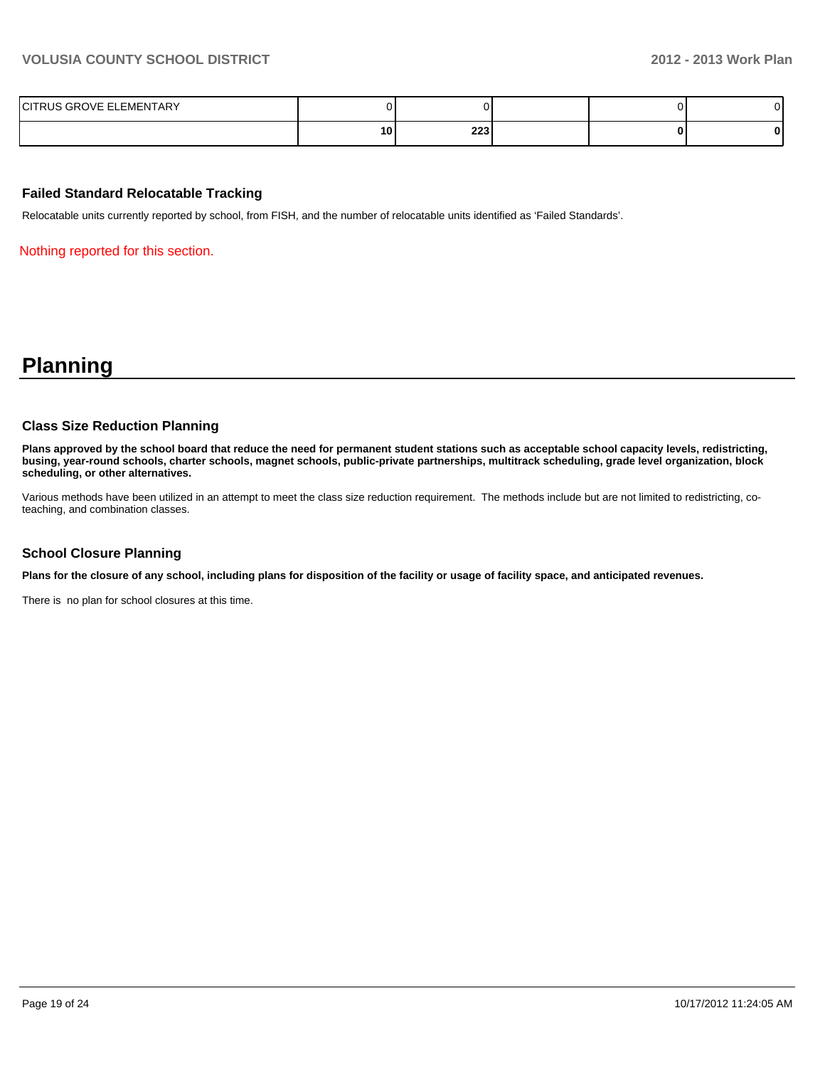| ELEMENTARY<br>$\overline{\phantom{0}}$<br>$\sim$<br>117∟ |    |                                             |  |  |
|----------------------------------------------------------|----|---------------------------------------------|--|--|
|                                                          | 10 | י כרב<br>223<br>and the control of the con- |  |  |

#### **Failed Standard Relocatable Tracking**

Relocatable units currently reported by school, from FISH, and the number of relocatable units identified as 'Failed Standards'.

Nothing reported for this section.

# **Planning**

#### **Class Size Reduction Planning**

**Plans approved by the school board that reduce the need for permanent student stations such as acceptable school capacity levels, redistricting, busing, year-round schools, charter schools, magnet schools, public-private partnerships, multitrack scheduling, grade level organization, block scheduling, or other alternatives.**

Various methods have been utilized in an attempt to meet the class size reduction requirement. The methods include but are not limited to redistricting, coteaching, and combination classes.

#### **School Closure Planning**

**Plans for the closure of any school, including plans for disposition of the facility or usage of facility space, and anticipated revenues.**

There is no plan for school closures at this time.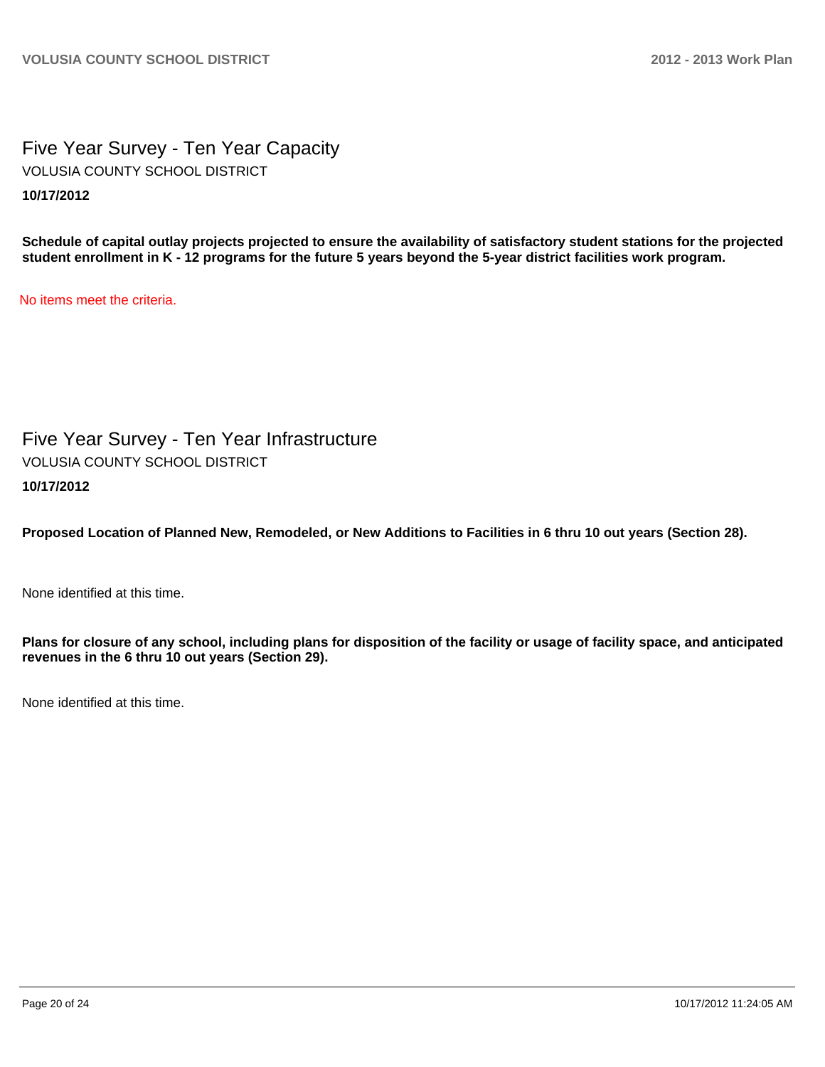Five Year Survey - Ten Year Capacity **10/17/2012** VOLUSIA COUNTY SCHOOL DISTRICT

**Schedule of capital outlay projects projected to ensure the availability of satisfactory student stations for the projected student enrollment in K - 12 programs for the future 5 years beyond the 5-year district facilities work program.**

No items meet the criteria.

Five Year Survey - Ten Year Infrastructure **10/17/2012** VOLUSIA COUNTY SCHOOL DISTRICT

**Proposed Location of Planned New, Remodeled, or New Additions to Facilities in 6 thru 10 out years (Section 28).**

None identified at this time.

**Plans for closure of any school, including plans for disposition of the facility or usage of facility space, and anticipated revenues in the 6 thru 10 out years (Section 29).**

None identified at this time.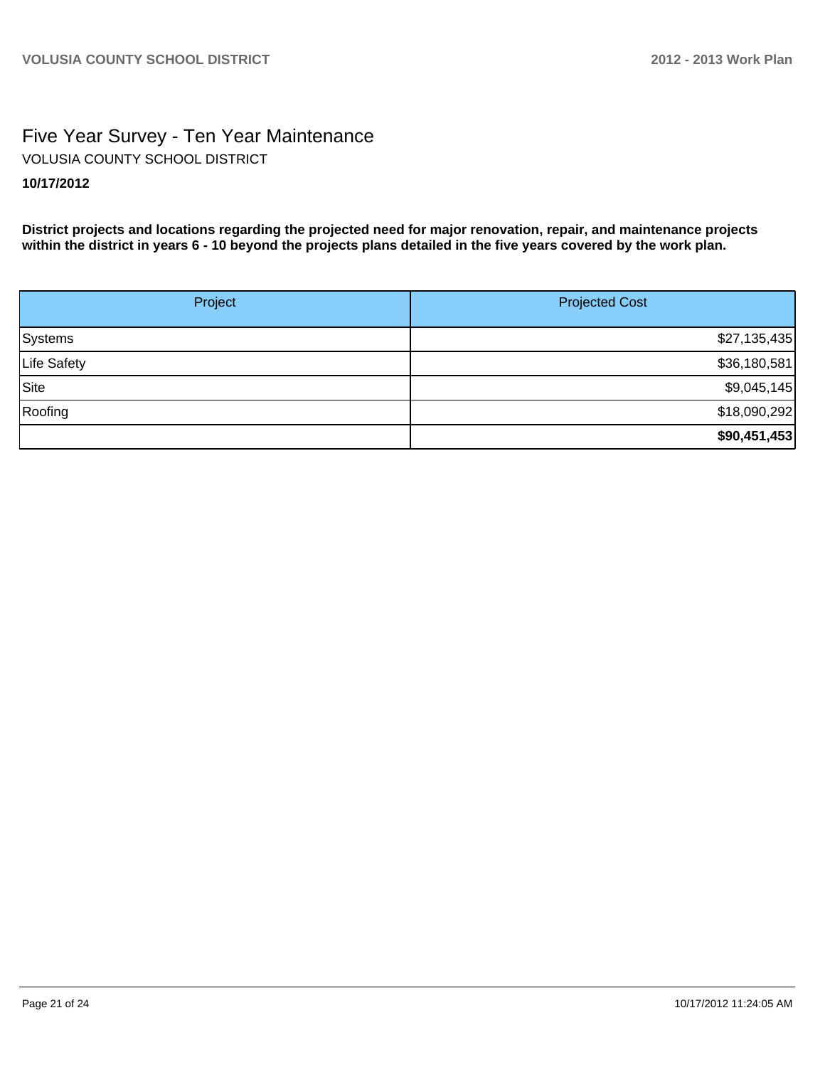# Five Year Survey - Ten Year Maintenance **10/17/2012** VOLUSIA COUNTY SCHOOL DISTRICT

**District projects and locations regarding the projected need for major renovation, repair, and maintenance projects within the district in years 6 - 10 beyond the projects plans detailed in the five years covered by the work plan.**

| Project     | <b>Projected Cost</b> |
|-------------|-----------------------|
| Systems     | \$27,135,435          |
| Life Safety | \$36,180,581          |
| Site        | \$9,045,145           |
| Roofing     | \$18,090,292          |
|             | \$90,451,453          |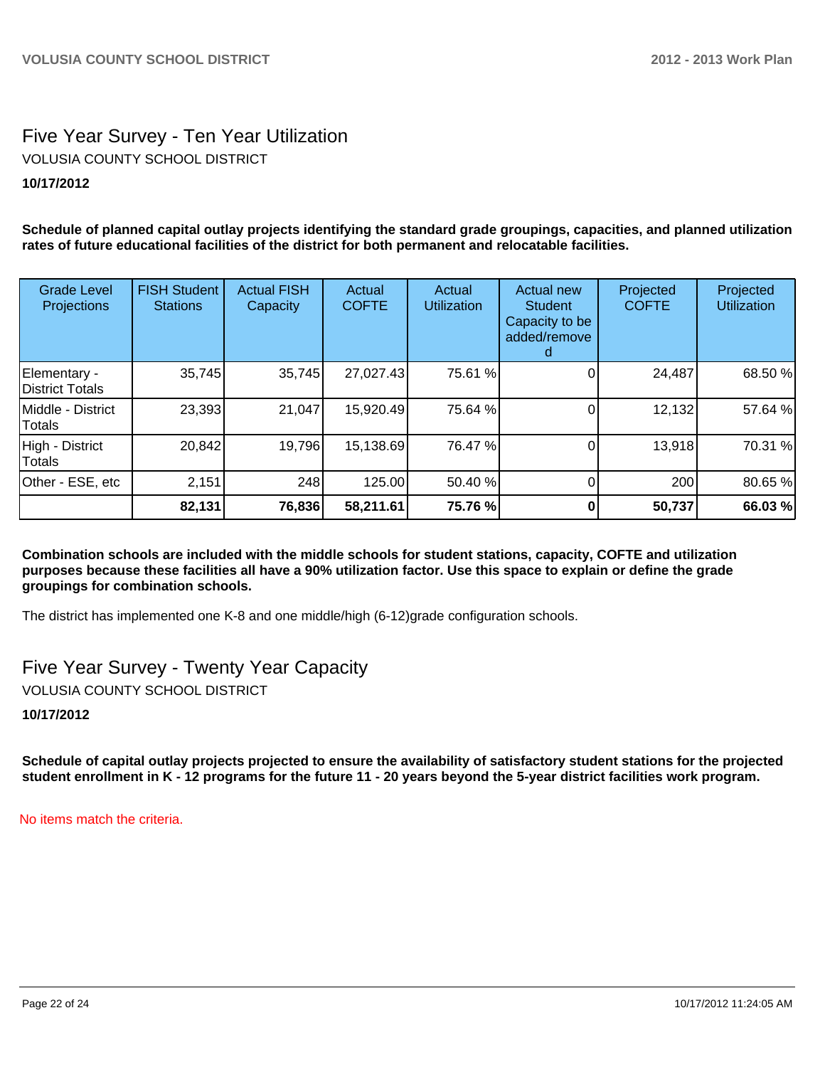# Five Year Survey - Ten Year Utilization **10/17/2012** VOLUSIA COUNTY SCHOOL DISTRICT

**Schedule of planned capital outlay projects identifying the standard grade groupings, capacities, and planned utilization rates of future educational facilities of the district for both permanent and relocatable facilities.**

| <b>Grade Level</b><br>Projections      | <b>FISH Student</b><br><b>Stations</b> | <b>Actual FISH</b><br>Capacity | Actual<br><b>COFTE</b> | Actual<br><b>Utilization</b> | <b>Actual new</b><br><b>Student</b><br>Capacity to be<br>added/remove | Projected<br><b>COFTE</b> | Projected<br><b>Utilization</b> |
|----------------------------------------|----------------------------------------|--------------------------------|------------------------|------------------------------|-----------------------------------------------------------------------|---------------------------|---------------------------------|
| Elementary -<br><b>District Totals</b> | 35,745                                 | 35,745                         | 27,027.43              | 75.61 %                      |                                                                       | 24,487                    | 68.50 %                         |
| Middle - District<br>Totals            | 23,393                                 | 21,047                         | 15,920.49              | 75.64 %                      |                                                                       | 12,132                    | 57.64 %                         |
| High - District<br>Totals              | 20,842                                 | 19,796                         | 15,138.69              | 76.47 %                      |                                                                       | 13,918                    | 70.31 %                         |
| Other - ESE, etc                       | 2,151                                  | 248                            | 125.00                 | 50.40 %                      |                                                                       | 200                       | 80.65 %                         |
|                                        | 82,131                                 | 76,836                         | 58,211.61              | 75.76 %                      |                                                                       | 50,737                    | 66.03 %                         |

**Combination schools are included with the middle schools for student stations, capacity, COFTE and utilization purposes because these facilities all have a 90% utilization factor. Use this space to explain or define the grade groupings for combination schools.**

The district has implemented one K-8 and one middle/high (6-12)grade configuration schools.

Five Year Survey - Twenty Year Capacity VOLUSIA COUNTY SCHOOL DISTRICT

**10/17/2012**

**Schedule of capital outlay projects projected to ensure the availability of satisfactory student stations for the projected student enrollment in K - 12 programs for the future 11 - 20 years beyond the 5-year district facilities work program.**

No items match the criteria.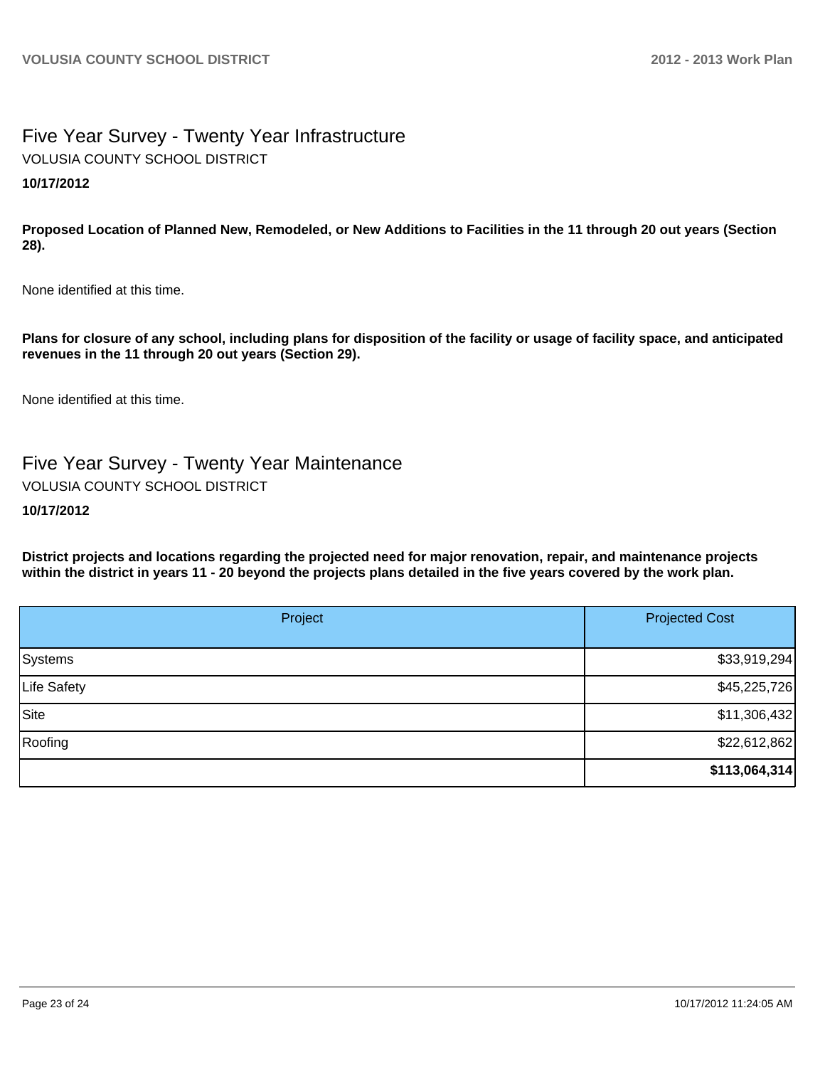# Five Year Survey - Twenty Year Infrastructure **10/17/2012** VOLUSIA COUNTY SCHOOL DISTRICT

**Proposed Location of Planned New, Remodeled, or New Additions to Facilities in the 11 through 20 out years (Section 28).**

None identified at this time.

**Plans for closure of any school, including plans for disposition of the facility or usage of facility space, and anticipated revenues in the 11 through 20 out years (Section 29).**

None identified at this time.

Five Year Survey - Twenty Year Maintenance VOLUSIA COUNTY SCHOOL DISTRICT

## **10/17/2012**

**District projects and locations regarding the projected need for major renovation, repair, and maintenance projects within the district in years 11 - 20 beyond the projects plans detailed in the five years covered by the work plan.**

| Project     | <b>Projected Cost</b> |
|-------------|-----------------------|
| Systems     | \$33,919,294          |
| Life Safety | \$45,225,726          |
| Site        | \$11,306,432          |
| Roofing     | \$22,612,862          |
|             | \$113,064,314         |